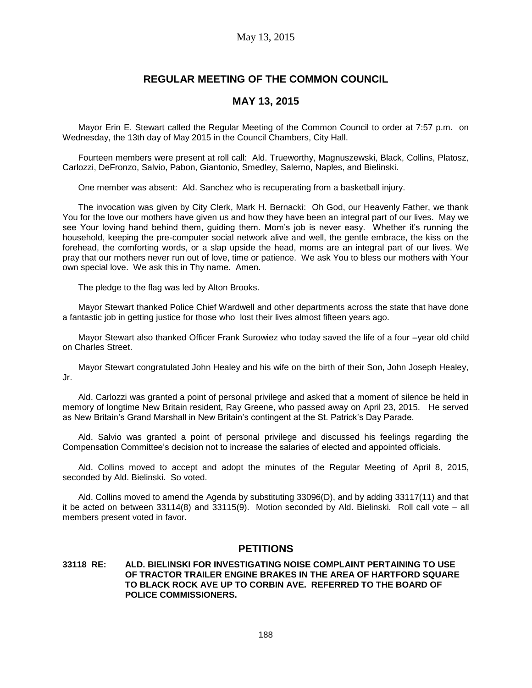# **REGULAR MEETING OF THE COMMON COUNCIL**

## **MAY 13, 2015**

Mayor Erin E. Stewart called the Regular Meeting of the Common Council to order at 7:57 p.m. on Wednesday, the 13th day of May 2015 in the Council Chambers, City Hall.

Fourteen members were present at roll call: Ald. Trueworthy, Magnuszewski, Black, Collins, Platosz, Carlozzi, DeFronzo, Salvio, Pabon, Giantonio, Smedley, Salerno, Naples, and Bielinski.

One member was absent: Ald. Sanchez who is recuperating from a basketball injury.

The invocation was given by City Clerk, Mark H. Bernacki: Oh God, our Heavenly Father, we thank You for the love our mothers have given us and how they have been an integral part of our lives. May we see Your loving hand behind them, guiding them. Mom's job is never easy. Whether it's running the household, keeping the pre-computer social network alive and well, the gentle embrace, the kiss on the forehead, the comforting words, or a slap upside the head, moms are an integral part of our lives. We pray that our mothers never run out of love, time or patience. We ask You to bless our mothers with Your own special love. We ask this in Thy name. Amen.

The pledge to the flag was led by Alton Brooks.

Mayor Stewart thanked Police Chief Wardwell and other departments across the state that have done a fantastic job in getting justice for those who lost their lives almost fifteen years ago.

Mayor Stewart also thanked Officer Frank Surowiez who today saved the life of a four –year old child on Charles Street.

Mayor Stewart congratulated John Healey and his wife on the birth of their Son, John Joseph Healey, Jr.

Ald. Carlozzi was granted a point of personal privilege and asked that a moment of silence be held in memory of longtime New Britain resident, Ray Greene, who passed away on April 23, 2015. He served as New Britain's Grand Marshall in New Britain's contingent at the St. Patrick's Day Parade.

Ald. Salvio was granted a point of personal privilege and discussed his feelings regarding the Compensation Committee's decision not to increase the salaries of elected and appointed officials.

Ald. Collins moved to accept and adopt the minutes of the Regular Meeting of April 8, 2015, seconded by Ald. Bielinski. So voted.

Ald. Collins moved to amend the Agenda by substituting 33096(D), and by adding 33117(11) and that it be acted on between 33114(8) and 33115(9). Motion seconded by Ald. Bielinski. Roll call vote – all members present voted in favor.

### **PETITIONS**

### **33118 RE: ALD. BIELINSKI FOR INVESTIGATING NOISE COMPLAINT PERTAINING TO USE OF TRACTOR TRAILER ENGINE BRAKES IN THE AREA OF HARTFORD SQUARE TO BLACK ROCK AVE UP TO CORBIN AVE. REFERRED TO THE BOARD OF POLICE COMMISSIONERS.**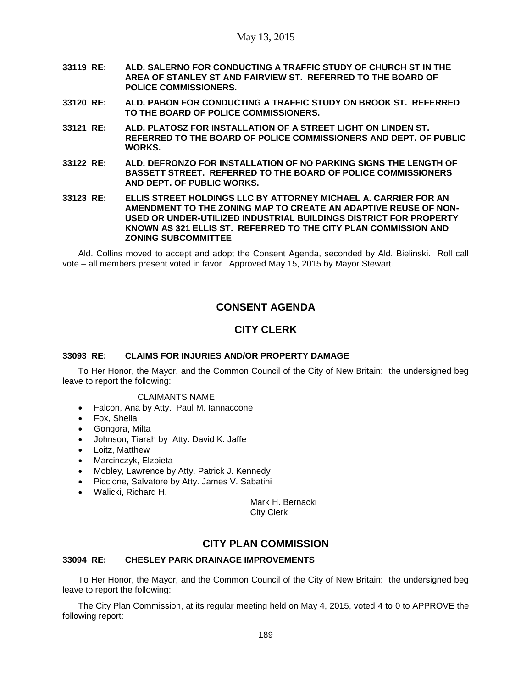- **33119 RE: ALD. SALERNO FOR CONDUCTING A TRAFFIC STUDY OF CHURCH ST IN THE AREA OF STANLEY ST AND FAIRVIEW ST. REFERRED TO THE BOARD OF POLICE COMMISSIONERS.**
- **33120 RE: ALD. PABON FOR CONDUCTING A TRAFFIC STUDY ON BROOK ST. REFERRED TO THE BOARD OF POLICE COMMISSIONERS.**
- **33121 RE: ALD. PLATOSZ FOR INSTALLATION OF A STREET LIGHT ON LINDEN ST. REFERRED TO THE BOARD OF POLICE COMMISSIONERS AND DEPT. OF PUBLIC WORKS.**
- **33122 RE: ALD. DEFRONZO FOR INSTALLATION OF NO PARKING SIGNS THE LENGTH OF BASSETT STREET. REFERRED TO THE BOARD OF POLICE COMMISSIONERS AND DEPT. OF PUBLIC WORKS.**
- **33123 RE: ELLIS STREET HOLDINGS LLC BY ATTORNEY MICHAEL A. CARRIER FOR AN AMENDMENT TO THE ZONING MAP TO CREATE AN ADAPTIVE REUSE OF NON-USED OR UNDER-UTILIZED INDUSTRIAL BUILDINGS DISTRICT FOR PROPERTY KNOWN AS 321 ELLIS ST. REFERRED TO THE CITY PLAN COMMISSION AND ZONING SUBCOMMITTEE**

Ald. Collins moved to accept and adopt the Consent Agenda, seconded by Ald. Bielinski. Roll call vote – all members present voted in favor. Approved May 15, 2015 by Mayor Stewart.

# **CONSENT AGENDA**

# **CITY CLERK**

### **33093 RE: CLAIMS FOR INJURIES AND/OR PROPERTY DAMAGE**

To Her Honor, the Mayor, and the Common Council of the City of New Britain: the undersigned beg leave to report the following:

### CLAIMANTS NAME

- Falcon, Ana by Atty. Paul M. Iannaccone
- Fox, Sheila
- Gongora, Milta
- Johnson, Tiarah by Atty. David K. Jaffe
- Loitz, Matthew
- Marcinczyk, Elzbieta
- Mobley, Lawrence by Atty. Patrick J. Kennedy
- Piccione, Salvatore by Atty. James V. Sabatini
- Walicki, Richard H.

Mark H. Bernacki City Clerk

# **CITY PLAN COMMISSION**

### **33094 RE: CHESLEY PARK DRAINAGE IMPROVEMENTS**

To Her Honor, the Mayor, and the Common Council of the City of New Britain: the undersigned beg leave to report the following:

The City Plan Commission, at its regular meeting held on May 4, 2015, voted  $4$  to 0 to APPROVE the following report: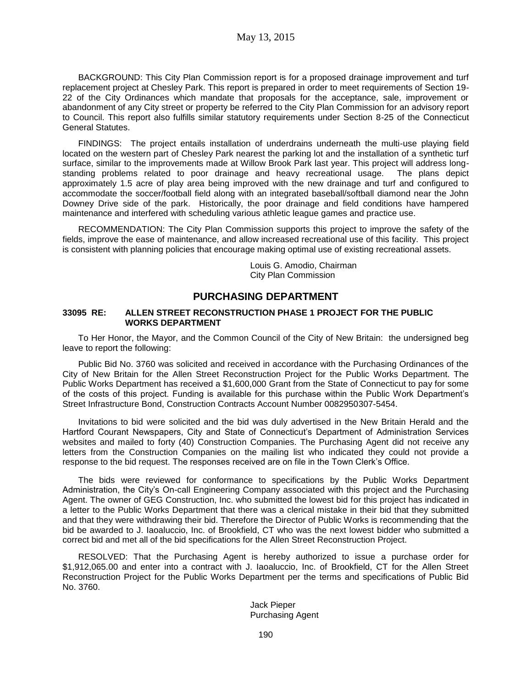BACKGROUND: This City Plan Commission report is for a proposed drainage improvement and turf replacement project at Chesley Park. This report is prepared in order to meet requirements of Section 19- 22 of the City Ordinances which mandate that proposals for the acceptance, sale, improvement or abandonment of any City street or property be referred to the City Plan Commission for an advisory report to Council. This report also fulfills similar statutory requirements under Section 8-25 of the Connecticut General Statutes.

FINDINGS: The project entails installation of underdrains underneath the multi-use playing field located on the western part of Chesley Park nearest the parking lot and the installation of a synthetic turf surface, similar to the improvements made at Willow Brook Park last year. This project will address longstanding problems related to poor drainage and heavy recreational usage. The plans depict approximately 1.5 acre of play area being improved with the new drainage and turf and configured to accommodate the soccer/football field along with an integrated baseball/softball diamond near the John Downey Drive side of the park. Historically, the poor drainage and field conditions have hampered maintenance and interfered with scheduling various athletic league games and practice use.

RECOMMENDATION: The City Plan Commission supports this project to improve the safety of the fields, improve the ease of maintenance, and allow increased recreational use of this facility. This project is consistent with planning policies that encourage making optimal use of existing recreational assets.

> Louis G. Amodio, Chairman City Plan Commission

## **PURCHASING DEPARTMENT**

### **33095 RE: ALLEN STREET RECONSTRUCTION PHASE 1 PROJECT FOR THE PUBLIC WORKS DEPARTMENT**

To Her Honor, the Mayor, and the Common Council of the City of New Britain: the undersigned beg leave to report the following:

Public Bid No. 3760 was solicited and received in accordance with the Purchasing Ordinances of the City of New Britain for the Allen Street Reconstruction Project for the Public Works Department. The Public Works Department has received a \$1,600,000 Grant from the State of Connecticut to pay for some of the costs of this project. Funding is available for this purchase within the Public Work Department's Street Infrastructure Bond, Construction Contracts Account Number 0082950307-5454.

Invitations to bid were solicited and the bid was duly advertised in the New Britain Herald and the Hartford Courant Newspapers, City and State of Connecticut's Department of Administration Services websites and mailed to forty (40) Construction Companies. The Purchasing Agent did not receive any letters from the Construction Companies on the mailing list who indicated they could not provide a response to the bid request. The responses received are on file in the Town Clerk's Office.

The bids were reviewed for conformance to specifications by the Public Works Department Administration, the City's On-call Engineering Company associated with this project and the Purchasing Agent. The owner of GEG Construction, Inc. who submitted the lowest bid for this project has indicated in a letter to the Public Works Department that there was a clerical mistake in their bid that they submitted and that they were withdrawing their bid. Therefore the Director of Public Works is recommending that the bid be awarded to J. Iaoaluccio, Inc. of Brookfield, CT who was the next lowest bidder who submitted a correct bid and met all of the bid specifications for the Allen Street Reconstruction Project.

RESOLVED: That the Purchasing Agent is hereby authorized to issue a purchase order for \$1,912,065.00 and enter into a contract with J. Iaoaluccio, Inc. of Brookfield, CT for the Allen Street Reconstruction Project for the Public Works Department per the terms and specifications of Public Bid No. 3760.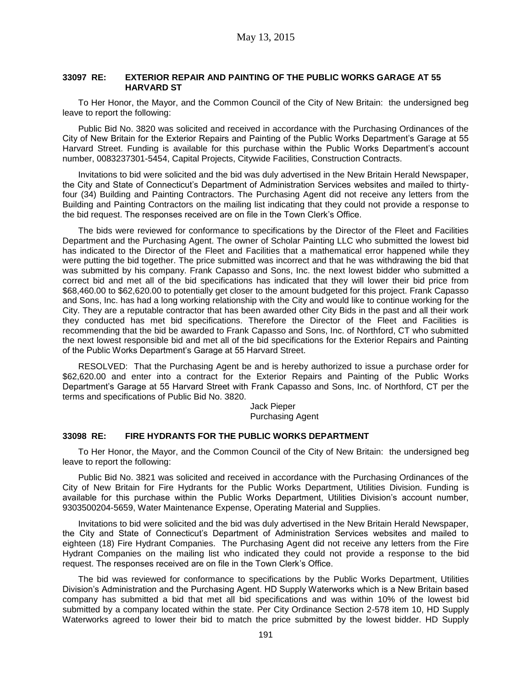#### **33097 RE: EXTERIOR REPAIR AND PAINTING OF THE PUBLIC WORKS GARAGE AT 55 HARVARD ST**

To Her Honor, the Mayor, and the Common Council of the City of New Britain: the undersigned beg leave to report the following:

Public Bid No. 3820 was solicited and received in accordance with the Purchasing Ordinances of the City of New Britain for the Exterior Repairs and Painting of the Public Works Department's Garage at 55 Harvard Street. Funding is available for this purchase within the Public Works Department's account number, 0083237301-5454, Capital Projects, Citywide Facilities, Construction Contracts.

Invitations to bid were solicited and the bid was duly advertised in the New Britain Herald Newspaper, the City and State of Connecticut's Department of Administration Services websites and mailed to thirtyfour (34) Building and Painting Contractors. The Purchasing Agent did not receive any letters from the Building and Painting Contractors on the mailing list indicating that they could not provide a response to the bid request. The responses received are on file in the Town Clerk's Office.

The bids were reviewed for conformance to specifications by the Director of the Fleet and Facilities Department and the Purchasing Agent. The owner of Scholar Painting LLC who submitted the lowest bid has indicated to the Director of the Fleet and Facilities that a mathematical error happened while they were putting the bid together. The price submitted was incorrect and that he was withdrawing the bid that was submitted by his company. Frank Capasso and Sons, Inc. the next lowest bidder who submitted a correct bid and met all of the bid specifications has indicated that they will lower their bid price from \$68,460.00 to \$62,620.00 to potentially get closer to the amount budgeted for this project. Frank Capasso and Sons, Inc. has had a long working relationship with the City and would like to continue working for the City. They are a reputable contractor that has been awarded other City Bids in the past and all their work they conducted has met bid specifications. Therefore the Director of the Fleet and Facilities is recommending that the bid be awarded to Frank Capasso and Sons, Inc. of Northford, CT who submitted the next lowest responsible bid and met all of the bid specifications for the Exterior Repairs and Painting of the Public Works Department's Garage at 55 Harvard Street.

RESOLVED: That the Purchasing Agent be and is hereby authorized to issue a purchase order for \$62,620.00 and enter into a contract for the Exterior Repairs and Painting of the Public Works Department's Garage at 55 Harvard Street with Frank Capasso and Sons, Inc. of Northford, CT per the terms and specifications of Public Bid No. 3820.

> Jack Pieper Purchasing Agent

### **33098 RE: FIRE HYDRANTS FOR THE PUBLIC WORKS DEPARTMENT**

To Her Honor, the Mayor, and the Common Council of the City of New Britain: the undersigned beg leave to report the following:

Public Bid No. 3821 was solicited and received in accordance with the Purchasing Ordinances of the City of New Britain for Fire Hydrants for the Public Works Department, Utilities Division. Funding is available for this purchase within the Public Works Department, Utilities Division's account number, 9303500204-5659, Water Maintenance Expense, Operating Material and Supplies.

Invitations to bid were solicited and the bid was duly advertised in the New Britain Herald Newspaper, the City and State of Connecticut's Department of Administration Services websites and mailed to eighteen (18) Fire Hydrant Companies. The Purchasing Agent did not receive any letters from the Fire Hydrant Companies on the mailing list who indicated they could not provide a response to the bid request. The responses received are on file in the Town Clerk's Office.

The bid was reviewed for conformance to specifications by the Public Works Department, Utilities Division's Administration and the Purchasing Agent. HD Supply Waterworks which is a New Britain based company has submitted a bid that met all bid specifications and was within 10% of the lowest bid submitted by a company located within the state. Per City Ordinance Section 2-578 item 10, HD Supply Waterworks agreed to lower their bid to match the price submitted by the lowest bidder. HD Supply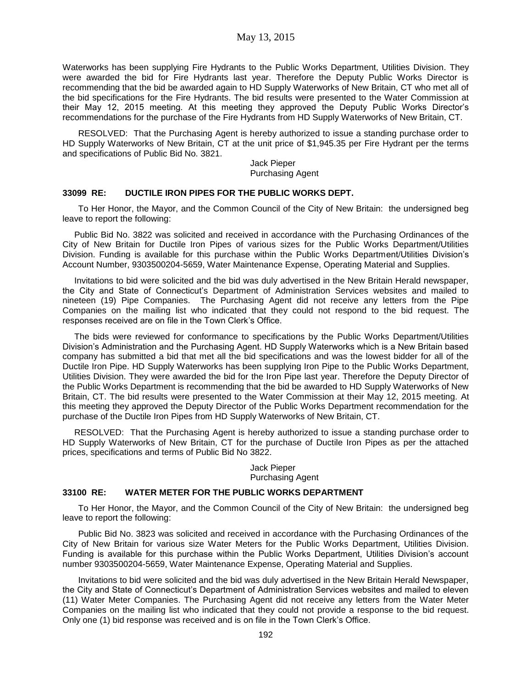Waterworks has been supplying Fire Hydrants to the Public Works Department, Utilities Division. They were awarded the bid for Fire Hydrants last year. Therefore the Deputy Public Works Director is recommending that the bid be awarded again to HD Supply Waterworks of New Britain, CT who met all of the bid specifications for the Fire Hydrants. The bid results were presented to the Water Commission at their May 12, 2015 meeting. At this meeting they approved the Deputy Public Works Director's recommendations for the purchase of the Fire Hydrants from HD Supply Waterworks of New Britain, CT.

RESOLVED: That the Purchasing Agent is hereby authorized to issue a standing purchase order to HD Supply Waterworks of New Britain, CT at the unit price of \$1,945.35 per Fire Hydrant per the terms and specifications of Public Bid No. 3821.

> Jack Pieper Purchasing Agent

#### **33099 RE: DUCTILE IRON PIPES FOR THE PUBLIC WORKS DEPT.**

To Her Honor, the Mayor, and the Common Council of the City of New Britain: the undersigned beg leave to report the following:

Public Bid No. 3822 was solicited and received in accordance with the Purchasing Ordinances of the City of New Britain for Ductile Iron Pipes of various sizes for the Public Works Department/Utilities Division. Funding is available for this purchase within the Public Works Department/Utilities Division's Account Number, 9303500204-5659, Water Maintenance Expense, Operating Material and Supplies.

Invitations to bid were solicited and the bid was duly advertised in the New Britain Herald newspaper, the City and State of Connecticut's Department of Administration Services websites and mailed to nineteen (19) Pipe Companies. The Purchasing Agent did not receive any letters from the Pipe Companies on the mailing list who indicated that they could not respond to the bid request. The responses received are on file in the Town Clerk's Office.

The bids were reviewed for conformance to specifications by the Public Works Department/Utilities Division's Administration and the Purchasing Agent. HD Supply Waterworks which is a New Britain based company has submitted a bid that met all the bid specifications and was the lowest bidder for all of the Ductile Iron Pipe. HD Supply Waterworks has been supplying Iron Pipe to the Public Works Department, Utilities Division. They were awarded the bid for the Iron Pipe last year. Therefore the Deputy Director of the Public Works Department is recommending that the bid be awarded to HD Supply Waterworks of New Britain, CT. The bid results were presented to the Water Commission at their May 12, 2015 meeting. At this meeting they approved the Deputy Director of the Public Works Department recommendation for the purchase of the Ductile Iron Pipes from HD Supply Waterworks of New Britain, CT.

RESOLVED: That the Purchasing Agent is hereby authorized to issue a standing purchase order to HD Supply Waterworks of New Britain, CT for the purchase of Ductile Iron Pipes as per the attached prices, specifications and terms of Public Bid No 3822.

> Jack Pieper Purchasing Agent

### **33100 RE: WATER METER FOR THE PUBLIC WORKS DEPARTMENT**

To Her Honor, the Mayor, and the Common Council of the City of New Britain: the undersigned beg leave to report the following:

Public Bid No. 3823 was solicited and received in accordance with the Purchasing Ordinances of the City of New Britain for various size Water Meters for the Public Works Department, Utilities Division. Funding is available for this purchase within the Public Works Department, Utilities Division's account number 9303500204-5659, Water Maintenance Expense, Operating Material and Supplies.

Invitations to bid were solicited and the bid was duly advertised in the New Britain Herald Newspaper, the City and State of Connecticut's Department of Administration Services websites and mailed to eleven (11) Water Meter Companies. The Purchasing Agent did not receive any letters from the Water Meter Companies on the mailing list who indicated that they could not provide a response to the bid request. Only one (1) bid response was received and is on file in the Town Clerk's Office.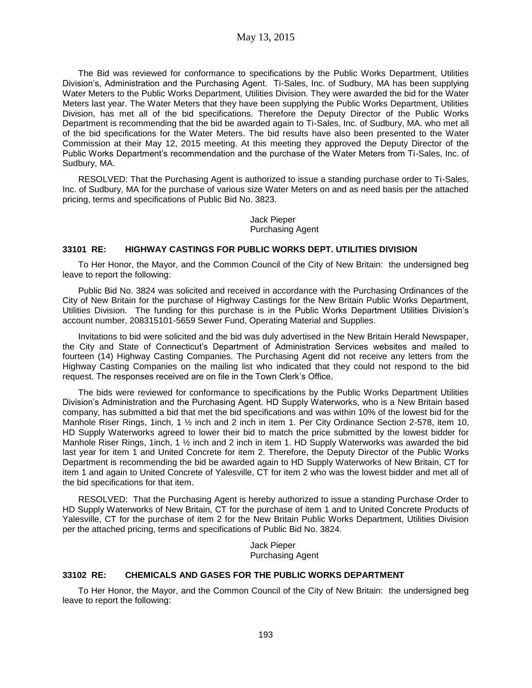The Bid was reviewed for conformance to specifications by the Public Works Department, Utilities Division's, Administration and the Purchasing Agent. Ti-Sales, Inc. of Sudbury, MA has been supplying Water Meters to the Public Works Department, Utilities Division. They were awarded the bid for the Water Meters last year. The Water Meters that they have been supplying the Public Works Department, Utilities Division, has met all of the bid specifications. Therefore the Deputy Director of the Public Works Department is recommending that the bid be awarded again to Ti-Sales, Inc. of Sudbury, MA. who met all of the bid specifications for the Water Meters. The bid results have also been presented to the Water Commission at their May 12, 2015 meeting. At this meeting they approved the Deputy Director of the Public Works Department's recommendation and the purchase of the Water Meters from Ti-Sales, Inc. of Sudbury, MA.

RESOLVED: That the Purchasing Agent is authorized to issue a standing purchase order to Ti-Sales, Inc. of Sudbury, MA for the purchase of various size Water Meters on and as need basis per the attached pricing, terms and specifications of Public Bid No. 3823.

> Jack Pieper Purchasing Agent

### **33101 RE: HIGHWAY CASTINGS FOR PUBLIC WORKS DEPT. UTILITIES DIVISION**

To Her Honor, the Mayor, and the Common Council of the City of New Britain: the undersigned beg leave to report the following:

Public Bid No. 3824 was solicited and received in accordance with the Purchasing Ordinances of the City of New Britain for the purchase of Highway Castings for the New Britain Public Works Department, Utilities Division. The funding for this purchase is in the Public Works Department Utilities Division's account number, 208315101-5659 Sewer Fund, Operating Material and Supplies.

Invitations to bid were solicited and the bid was duly advertised in the New Britain Herald Newspaper, the City and State of Connecticut's Department of Administration Services websites and mailed to fourteen (14) Highway Casting Companies. The Purchasing Agent did not receive any letters from the Highway Casting Companies on the mailing list who indicated that they could not respond to the bid request. The responses received are on file in the Town Clerk's Office.

The bids were reviewed for conformance to specifications by the Public Works Department Utilities Division's Administration and the Purchasing Agent. HD Supply Waterworks, who is a New Britain based company, has submitted a bid that met the bid specifications and was within 10% of the lowest bid for the Manhole Riser Rings, 1inch, 1 1/2 inch and 2 inch in item 1. Per City Ordinance Section 2-578, item 10, HD Supply Waterworks agreed to lower their bid to match the price submitted by the lowest bidder for Manhole Riser Rings, 1inch, 1 ½ inch and 2 inch in item 1. HD Supply Waterworks was awarded the bid last year for item 1 and United Concrete for item 2. Therefore, the Deputy Director of the Public Works Department is recommending the bid be awarded again to HD Supply Waterworks of New Britain, CT for item 1 and again to United Concrete of Yalesville, CT for item 2 who was the lowest bidder and met all of the bid specifications for that item.

RESOLVED: That the Purchasing Agent is hereby authorized to issue a standing Purchase Order to HD Supply Waterworks of New Britain, CT for the purchase of item 1 and to United Concrete Products of Yalesville, CT for the purchase of item 2 for the New Britain Public Works Department, Utilities Division per the attached pricing, terms and specifications of Public Bid No. 3824.

> Jack Pieper Purchasing Agent

### **33102 RE: CHEMICALS AND GASES FOR THE PUBLIC WORKS DEPARTMENT**

To Her Honor, the Mayor, and the Common Council of the City of New Britain: the undersigned beg leave to report the following: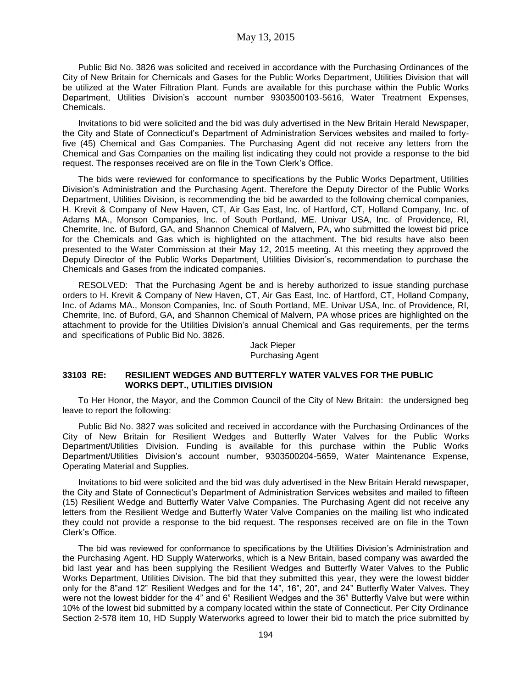May 13, 2015

Public Bid No. 3826 was solicited and received in accordance with the Purchasing Ordinances of the City of New Britain for Chemicals and Gases for the Public Works Department, Utilities Division that will be utilized at the Water Filtration Plant. Funds are available for this purchase within the Public Works Department, Utilities Division's account number 9303500103-5616, Water Treatment Expenses, Chemicals.

Invitations to bid were solicited and the bid was duly advertised in the New Britain Herald Newspaper, the City and State of Connecticut's Department of Administration Services websites and mailed to fortyfive (45) Chemical and Gas Companies. The Purchasing Agent did not receive any letters from the Chemical and Gas Companies on the mailing list indicating they could not provide a response to the bid request. The responses received are on file in the Town Clerk's Office.

The bids were reviewed for conformance to specifications by the Public Works Department, Utilities Division's Administration and the Purchasing Agent. Therefore the Deputy Director of the Public Works Department, Utilities Division, is recommending the bid be awarded to the following chemical companies, H. Krevit & Company of New Haven, CT, Air Gas East, Inc. of Hartford, CT, Holland Company, Inc. of Adams MA., Monson Companies, Inc. of South Portland, ME. Univar USA, Inc. of Providence, RI, Chemrite, Inc. of Buford, GA, and Shannon Chemical of Malvern, PA, who submitted the lowest bid price for the Chemicals and Gas which is highlighted on the attachment. The bid results have also been presented to the Water Commission at their May 12, 2015 meeting. At this meeting they approved the Deputy Director of the Public Works Department, Utilities Division's, recommendation to purchase the Chemicals and Gases from the indicated companies.

RESOLVED: That the Purchasing Agent be and is hereby authorized to issue standing purchase orders to H. Krevit & Company of New Haven, CT, Air Gas East, Inc. of Hartford, CT, Holland Company, Inc. of Adams MA., Monson Companies, Inc. of South Portland, ME. Univar USA, Inc. of Providence, RI, Chemrite, Inc. of Buford, GA, and Shannon Chemical of Malvern, PA whose prices are highlighted on the attachment to provide for the Utilities Division's annual Chemical and Gas requirements, per the terms and specifications of Public Bid No. 3826.

> Jack Pieper Purchasing Agent

### **33103 RE: RESILIENT WEDGES AND BUTTERFLY WATER VALVES FOR THE PUBLIC WORKS DEPT., UTILITIES DIVISION**

To Her Honor, the Mayor, and the Common Council of the City of New Britain: the undersigned beg leave to report the following:

Public Bid No. 3827 was solicited and received in accordance with the Purchasing Ordinances of the City of New Britain for Resilient Wedges and Butterfly Water Valves for the Public Works Department/Utilities Division. Funding is available for this purchase within the Public Works Department/Utilities Division's account number, 9303500204-5659, Water Maintenance Expense, Operating Material and Supplies.

Invitations to bid were solicited and the bid was duly advertised in the New Britain Herald newspaper, the City and State of Connecticut's Department of Administration Services websites and mailed to fifteen (15) Resilient Wedge and Butterfly Water Valve Companies. The Purchasing Agent did not receive any letters from the Resilient Wedge and Butterfly Water Valve Companies on the mailing list who indicated they could not provide a response to the bid request. The responses received are on file in the Town Clerk's Office.

The bid was reviewed for conformance to specifications by the Utilities Division's Administration and the Purchasing Agent. HD Supply Waterworks, which is a New Britain, based company was awarded the bid last year and has been supplying the Resilient Wedges and Butterfly Water Valves to the Public Works Department, Utilities Division. The bid that they submitted this year, they were the lowest bidder only for the 8"and 12" Resilient Wedges and for the 14", 16", 20", and 24" Butterfly Water Valves. They were not the lowest bidder for the 4" and 6" Resilient Wedges and the 36" Butterfly Valve but were within 10% of the lowest bid submitted by a company located within the state of Connecticut. Per City Ordinance Section 2-578 item 10, HD Supply Waterworks agreed to lower their bid to match the price submitted by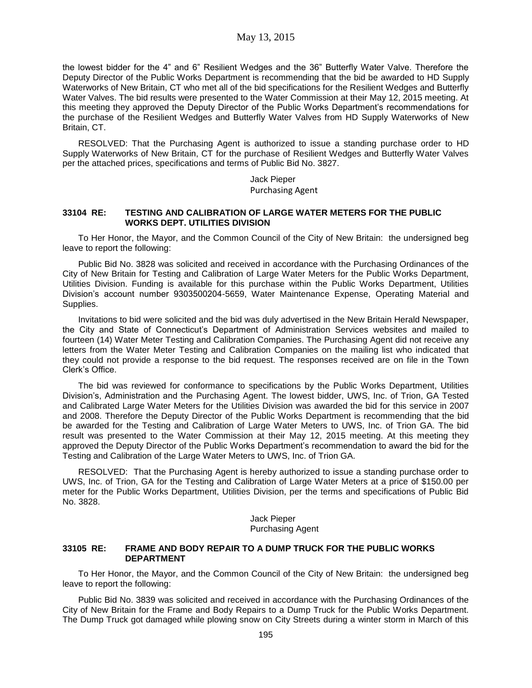the lowest bidder for the 4" and 6" Resilient Wedges and the 36" Butterfly Water Valve. Therefore the Deputy Director of the Public Works Department is recommending that the bid be awarded to HD Supply Waterworks of New Britain, CT who met all of the bid specifications for the Resilient Wedges and Butterfly Water Valves. The bid results were presented to the Water Commission at their May 12, 2015 meeting. At this meeting they approved the Deputy Director of the Public Works Department's recommendations for the purchase of the Resilient Wedges and Butterfly Water Valves from HD Supply Waterworks of New Britain, CT.

RESOLVED: That the Purchasing Agent is authorized to issue a standing purchase order to HD Supply Waterworks of New Britain, CT for the purchase of Resilient Wedges and Butterfly Water Valves per the attached prices, specifications and terms of Public Bid No. 3827.

> Jack Pieper Purchasing Agent

### **33104 RE: TESTING AND CALIBRATION OF LARGE WATER METERS FOR THE PUBLIC WORKS DEPT. UTILITIES DIVISION**

To Her Honor, the Mayor, and the Common Council of the City of New Britain: the undersigned beg leave to report the following:

Public Bid No. 3828 was solicited and received in accordance with the Purchasing Ordinances of the City of New Britain for Testing and Calibration of Large Water Meters for the Public Works Department, Utilities Division. Funding is available for this purchase within the Public Works Department, Utilities Division's account number 9303500204-5659, Water Maintenance Expense, Operating Material and Supplies.

Invitations to bid were solicited and the bid was duly advertised in the New Britain Herald Newspaper, the City and State of Connecticut's Department of Administration Services websites and mailed to fourteen (14) Water Meter Testing and Calibration Companies. The Purchasing Agent did not receive any letters from the Water Meter Testing and Calibration Companies on the mailing list who indicated that they could not provide a response to the bid request. The responses received are on file in the Town Clerk's Office.

The bid was reviewed for conformance to specifications by the Public Works Department, Utilities Division's, Administration and the Purchasing Agent. The lowest bidder, UWS, Inc. of Trion, GA Tested and Calibrated Large Water Meters for the Utilities Division was awarded the bid for this service in 2007 and 2008. Therefore the Deputy Director of the Public Works Department is recommending that the bid be awarded for the Testing and Calibration of Large Water Meters to UWS, Inc. of Trion GA. The bid result was presented to the Water Commission at their May 12, 2015 meeting. At this meeting they approved the Deputy Director of the Public Works Department's recommendation to award the bid for the Testing and Calibration of the Large Water Meters to UWS, Inc. of Trion GA.

RESOLVED: That the Purchasing Agent is hereby authorized to issue a standing purchase order to UWS, Inc. of Trion, GA for the Testing and Calibration of Large Water Meters at a price of \$150.00 per meter for the Public Works Department, Utilities Division, per the terms and specifications of Public Bid No. 3828.

> Jack Pieper Purchasing Agent

### **33105 RE: FRAME AND BODY REPAIR TO A DUMP TRUCK FOR THE PUBLIC WORKS DEPARTMENT**

To Her Honor, the Mayor, and the Common Council of the City of New Britain: the undersigned beg leave to report the following:

Public Bid No. 3839 was solicited and received in accordance with the Purchasing Ordinances of the City of New Britain for the Frame and Body Repairs to a Dump Truck for the Public Works Department. The Dump Truck got damaged while plowing snow on City Streets during a winter storm in March of this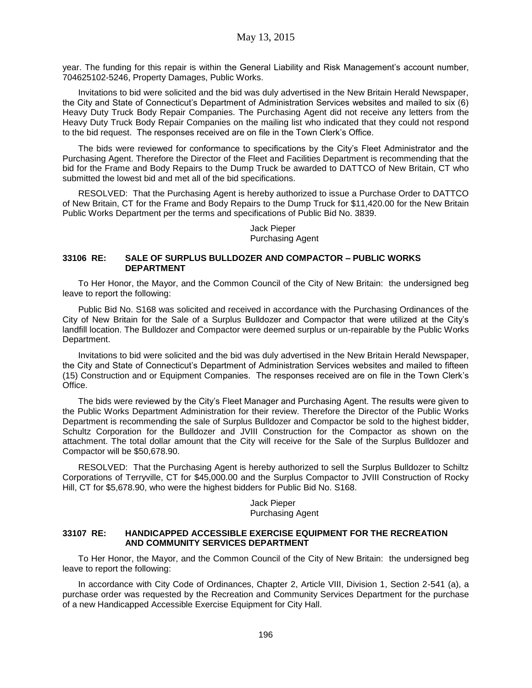year. The funding for this repair is within the General Liability and Risk Management's account number, 704625102-5246, Property Damages, Public Works.

Invitations to bid were solicited and the bid was duly advertised in the New Britain Herald Newspaper, the City and State of Connecticut's Department of Administration Services websites and mailed to six (6) Heavy Duty Truck Body Repair Companies. The Purchasing Agent did not receive any letters from the Heavy Duty Truck Body Repair Companies on the mailing list who indicated that they could not respond to the bid request. The responses received are on file in the Town Clerk's Office.

The bids were reviewed for conformance to specifications by the City's Fleet Administrator and the Purchasing Agent. Therefore the Director of the Fleet and Facilities Department is recommending that the bid for the Frame and Body Repairs to the Dump Truck be awarded to DATTCO of New Britain, CT who submitted the lowest bid and met all of the bid specifications.

RESOLVED: That the Purchasing Agent is hereby authorized to issue a Purchase Order to DATTCO of New Britain, CT for the Frame and Body Repairs to the Dump Truck for \$11,420.00 for the New Britain Public Works Department per the terms and specifications of Public Bid No. 3839.

## Jack Pieper Purchasing Agent

### **33106 RE: SALE OF SURPLUS BULLDOZER AND COMPACTOR – PUBLIC WORKS DEPARTMENT**

To Her Honor, the Mayor, and the Common Council of the City of New Britain: the undersigned beg leave to report the following:

Public Bid No. S168 was solicited and received in accordance with the Purchasing Ordinances of the City of New Britain for the Sale of a Surplus Bulldozer and Compactor that were utilized at the City's landfill location. The Bulldozer and Compactor were deemed surplus or un-repairable by the Public Works Department.

Invitations to bid were solicited and the bid was duly advertised in the New Britain Herald Newspaper, the City and State of Connecticut's Department of Administration Services websites and mailed to fifteen (15) Construction and or Equipment Companies. The responses received are on file in the Town Clerk's Office.

The bids were reviewed by the City's Fleet Manager and Purchasing Agent. The results were given to the Public Works Department Administration for their review. Therefore the Director of the Public Works Department is recommending the sale of Surplus Bulldozer and Compactor be sold to the highest bidder, Schultz Corporation for the Bulldozer and JVIII Construction for the Compactor as shown on the attachment. The total dollar amount that the City will receive for the Sale of the Surplus Bulldozer and Compactor will be \$50,678.90.

RESOLVED: That the Purchasing Agent is hereby authorized to sell the Surplus Bulldozer to Schiltz Corporations of Terryville, CT for \$45,000.00 and the Surplus Compactor to JVIII Construction of Rocky Hill, CT for \$5,678.90, who were the highest bidders for Public Bid No. S168.

> Jack Pieper Purchasing Agent

#### **33107 RE: HANDICAPPED ACCESSIBLE EXERCISE EQUIPMENT FOR THE RECREATION AND COMMUNITY SERVICES DEPARTMENT**

To Her Honor, the Mayor, and the Common Council of the City of New Britain: the undersigned beg leave to report the following:

In accordance with City Code of Ordinances, Chapter 2, Article VIII, Division 1, Section 2-541 (a), a purchase order was requested by the Recreation and Community Services Department for the purchase of a new Handicapped Accessible Exercise Equipment for City Hall.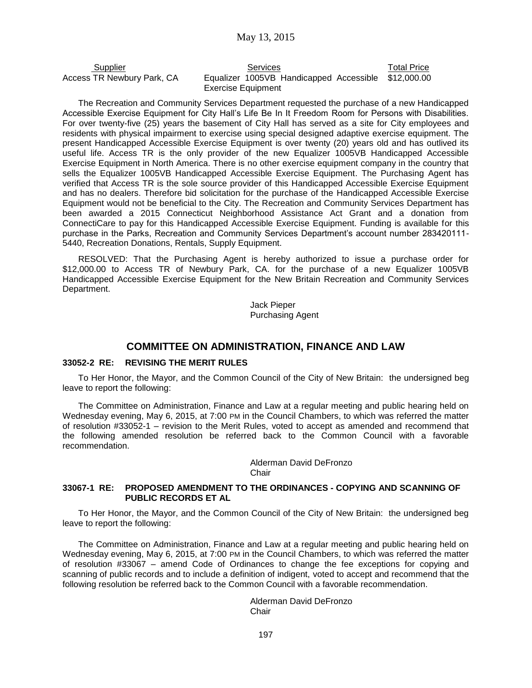| Supplier                   | Services                                            | <b>Total Price</b> |
|----------------------------|-----------------------------------------------------|--------------------|
| Access TR Newbury Park, CA | Equalizer 1005VB Handicapped Accessible \$12,000.00 |                    |
|                            | Exercise Equipment                                  |                    |

The Recreation and Community Services Department requested the purchase of a new Handicapped Accessible Exercise Equipment for City Hall's Life Be In It Freedom Room for Persons with Disabilities. For over twenty-five (25) years the basement of City Hall has served as a site for City employees and residents with physical impairment to exercise using special designed adaptive exercise equipment. The present Handicapped Accessible Exercise Equipment is over twenty (20) years old and has outlived its useful life. Access TR is the only provider of the new Equalizer 1005VB Handicapped Accessible Exercise Equipment in North America. There is no other exercise equipment company in the country that sells the Equalizer 1005VB Handicapped Accessible Exercise Equipment. The Purchasing Agent has verified that Access TR is the sole source provider of this Handicapped Accessible Exercise Equipment and has no dealers. Therefore bid solicitation for the purchase of the Handicapped Accessible Exercise Equipment would not be beneficial to the City. The Recreation and Community Services Department has been awarded a 2015 Connecticut Neighborhood Assistance Act Grant and a donation from ConnectiCare to pay for this Handicapped Accessible Exercise Equipment. Funding is available for this purchase in the Parks, Recreation and Community Services Department's account number 283420111- 5440, Recreation Donations, Rentals, Supply Equipment.

RESOLVED: That the Purchasing Agent is hereby authorized to issue a purchase order for \$12,000.00 to Access TR of Newbury Park, CA. for the purchase of a new Equalizer 1005VB Handicapped Accessible Exercise Equipment for the New Britain Recreation and Community Services Department.

> Jack Pieper Purchasing Agent

### **COMMITTEE ON ADMINISTRATION, FINANCE AND LAW**

### **33052-2 RE: REVISING THE MERIT RULES**

To Her Honor, the Mayor, and the Common Council of the City of New Britain: the undersigned beg leave to report the following:

The Committee on Administration, Finance and Law at a regular meeting and public hearing held on Wednesday evening, May 6, 2015, at 7:00 PM in the Council Chambers, to which was referred the matter of resolution #33052-1 – revision to the Merit Rules, voted to accept as amended and recommend that the following amended resolution be referred back to the Common Council with a favorable recommendation.

> Alderman David DeFronzo Chair

### **33067-1 RE: PROPOSED AMENDMENT TO THE ORDINANCES - COPYING AND SCANNING OF PUBLIC RECORDS ET AL**

To Her Honor, the Mayor, and the Common Council of the City of New Britain: the undersigned beg leave to report the following:

The Committee on Administration, Finance and Law at a regular meeting and public hearing held on Wednesday evening, May 6, 2015, at 7:00 PM in the Council Chambers, to which was referred the matter of resolution #33067 – amend Code of Ordinances to change the fee exceptions for copying and scanning of public records and to include a definition of indigent, voted to accept and recommend that the following resolution be referred back to the Common Council with a favorable recommendation.

> Alderman David DeFronzo **Chair**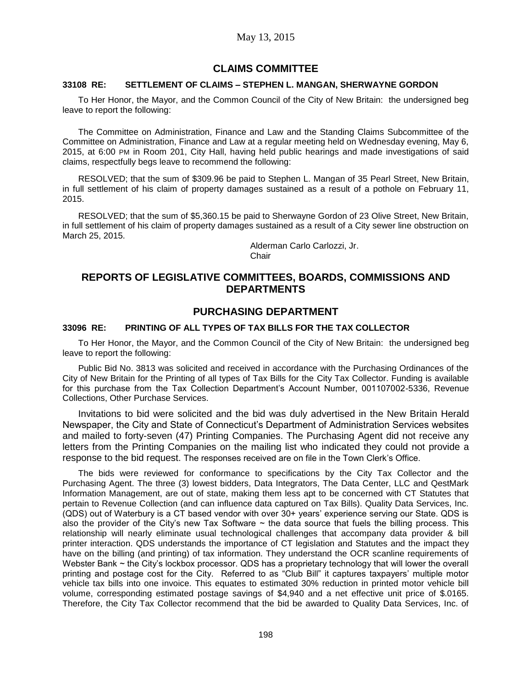# **CLAIMS COMMITTEE**

### **33108 RE: SETTLEMENT OF CLAIMS – STEPHEN L. MANGAN, SHERWAYNE GORDON**

To Her Honor, the Mayor, and the Common Council of the City of New Britain: the undersigned beg leave to report the following:

The Committee on Administration, Finance and Law and the Standing Claims Subcommittee of the Committee on Administration, Finance and Law at a regular meeting held on Wednesday evening, May 6, 2015, at 6:00 PM in Room 201, City Hall, having held public hearings and made investigations of said claims, respectfully begs leave to recommend the following:

RESOLVED; that the sum of \$309.96 be paid to Stephen L. Mangan of 35 Pearl Street, New Britain, in full settlement of his claim of property damages sustained as a result of a pothole on February 11, 2015.

RESOLVED; that the sum of \$5,360.15 be paid to Sherwayne Gordon of 23 Olive Street, New Britain, in full settlement of his claim of property damages sustained as a result of a City sewer line obstruction on March 25, 2015.

> Alderman Carlo Carlozzi, Jr. Chair

# **REPORTS OF LEGISLATIVE COMMITTEES, BOARDS, COMMISSIONS AND DEPARTMENTS**

## **PURCHASING DEPARTMENT**

#### **33096 RE: PRINTING OF ALL TYPES OF TAX BILLS FOR THE TAX COLLECTOR**

To Her Honor, the Mayor, and the Common Council of the City of New Britain: the undersigned beg leave to report the following:

Public Bid No. 3813 was solicited and received in accordance with the Purchasing Ordinances of the City of New Britain for the Printing of all types of Tax Bills for the City Tax Collector. Funding is available for this purchase from the Tax Collection Department's Account Number, 001107002-5336, Revenue Collections, Other Purchase Services.

Invitations to bid were solicited and the bid was duly advertised in the New Britain Herald Newspaper, the City and State of Connecticut's Department of Administration Services websites and mailed to forty-seven (47) Printing Companies. The Purchasing Agent did not receive any letters from the Printing Companies on the mailing list who indicated they could not provide a response to the bid request. The responses received are on file in the Town Clerk's Office.

The bids were reviewed for conformance to specifications by the City Tax Collector and the Purchasing Agent. The three (3) lowest bidders, Data Integrators, The Data Center, LLC and QestMark Information Management, are out of state, making them less apt to be concerned with CT Statutes that pertain to Revenue Collection (and can influence data captured on Tax Bills). Quality Data Services, Inc. (QDS) out of Waterbury is a CT based vendor with over 30+ years' experience serving our State. QDS is also the provider of the City's new Tax Software  $\sim$  the data source that fuels the billing process. This relationship will nearly eliminate usual technological challenges that accompany data provider & bill printer interaction. QDS understands the importance of CT legislation and Statutes and the impact they have on the billing (and printing) of tax information. They understand the OCR scanline requirements of Webster Bank ~ the City's lockbox processor. QDS has a proprietary technology that will lower the overall printing and postage cost for the City. Referred to as "Club Bill" it captures taxpayers' multiple motor vehicle tax bills into one invoice. This equates to estimated 30% reduction in printed motor vehicle bill volume, corresponding estimated postage savings of \$4,940 and a net effective unit price of \$.0165. Therefore, the City Tax Collector recommend that the bid be awarded to Quality Data Services, Inc. of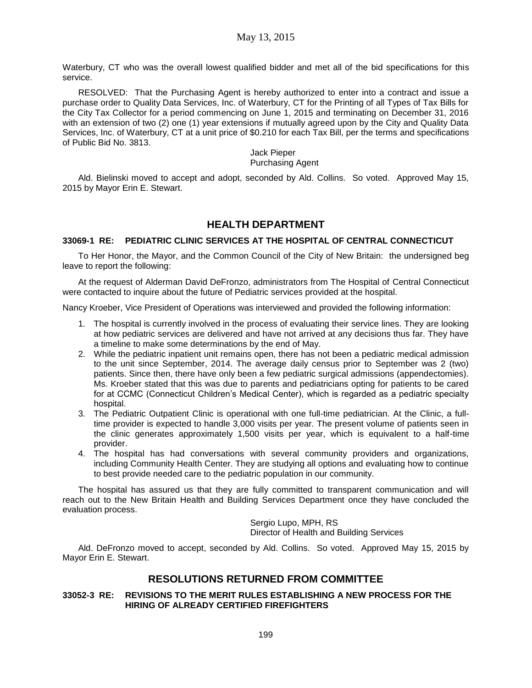Waterbury, CT who was the overall lowest qualified bidder and met all of the bid specifications for this service.

RESOLVED: That the Purchasing Agent is hereby authorized to enter into a contract and issue a purchase order to Quality Data Services, Inc. of Waterbury, CT for the Printing of all Types of Tax Bills for the City Tax Collector for a period commencing on June 1, 2015 and terminating on December 31, 2016 with an extension of two (2) one (1) year extensions if mutually agreed upon by the City and Quality Data Services, Inc. of Waterbury, CT at a unit price of \$0.210 for each Tax Bill, per the terms and specifications of Public Bid No. 3813.

> Jack Pieper Purchasing Agent

Ald. Bielinski moved to accept and adopt, seconded by Ald. Collins. So voted. Approved May 15, 2015 by Mayor Erin E. Stewart.

# **HEALTH DEPARTMENT**

### **33069-1 RE: PEDIATRIC CLINIC SERVICES AT THE HOSPITAL OF CENTRAL CONNECTICUT**

To Her Honor, the Mayor, and the Common Council of the City of New Britain: the undersigned beg leave to report the following:

At the request of Alderman David DeFronzo, administrators from The Hospital of Central Connecticut were contacted to inquire about the future of Pediatric services provided at the hospital.

Nancy Kroeber, Vice President of Operations was interviewed and provided the following information:

- 1. The hospital is currently involved in the process of evaluating their service lines. They are looking at how pediatric services are delivered and have not arrived at any decisions thus far. They have a timeline to make some determinations by the end of May.
- 2. While the pediatric inpatient unit remains open, there has not been a pediatric medical admission to the unit since September, 2014. The average daily census prior to September was 2 (two) patients. Since then, there have only been a few pediatric surgical admissions (appendectomies). Ms. Kroeber stated that this was due to parents and pediatricians opting for patients to be cared for at CCMC (Connecticut Children's Medical Center), which is regarded as a pediatric specialty hospital.
- 3. The Pediatric Outpatient Clinic is operational with one full-time pediatrician. At the Clinic, a fulltime provider is expected to handle 3,000 visits per year. The present volume of patients seen in the clinic generates approximately 1,500 visits per year, which is equivalent to a half-time provider.
- 4. The hospital has had conversations with several community providers and organizations, including Community Health Center. They are studying all options and evaluating how to continue to best provide needed care to the pediatric population in our community.

The hospital has assured us that they are fully committed to transparent communication and will reach out to the New Britain Health and Building Services Department once they have concluded the evaluation process.

> Sergio Lupo, MPH, RS Director of Health and Building Services

Ald. DeFronzo moved to accept, seconded by Ald. Collins. So voted. Approved May 15, 2015 by Mayor Erin E. Stewart.

# **RESOLUTIONS RETURNED FROM COMMITTEE**

### **33052-3 RE: REVISIONS TO THE MERIT RULES ESTABLISHING A NEW PROCESS FOR THE HIRING OF ALREADY CERTIFIED FIREFIGHTERS**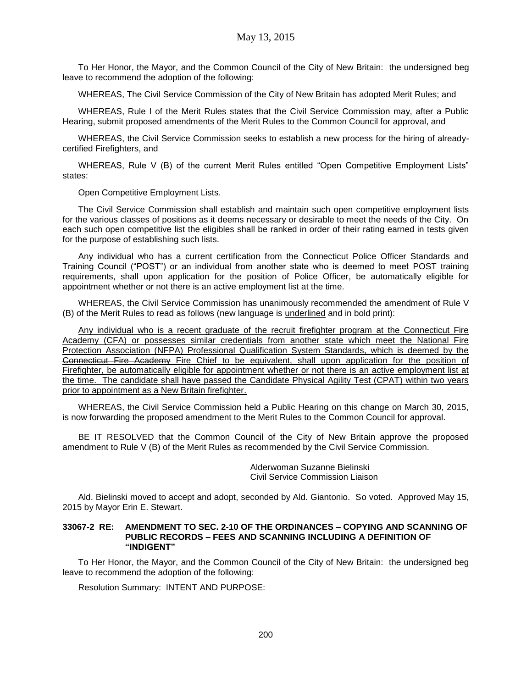To Her Honor, the Mayor, and the Common Council of the City of New Britain: the undersigned beg leave to recommend the adoption of the following:

WHEREAS, The Civil Service Commission of the City of New Britain has adopted Merit Rules; and

WHEREAS, Rule I of the Merit Rules states that the Civil Service Commission may, after a Public Hearing, submit proposed amendments of the Merit Rules to the Common Council for approval, and

WHEREAS, the Civil Service Commission seeks to establish a new process for the hiring of alreadycertified Firefighters, and

WHEREAS, Rule V (B) of the current Merit Rules entitled "Open Competitive Employment Lists" states:

Open Competitive Employment Lists.

The Civil Service Commission shall establish and maintain such open competitive employment lists for the various classes of positions as it deems necessary or desirable to meet the needs of the City. On each such open competitive list the eligibles shall be ranked in order of their rating earned in tests given for the purpose of establishing such lists.

Any individual who has a current certification from the Connecticut Police Officer Standards and Training Council ("POST") or an individual from another state who is deemed to meet POST training requirements, shall upon application for the position of Police Officer, be automatically eligible for appointment whether or not there is an active employment list at the time.

WHEREAS, the Civil Service Commission has unanimously recommended the amendment of Rule V (B) of the Merit Rules to read as follows (new language is underlined and in bold print):

Any individual who is a recent graduate of the recruit firefighter program at the Connecticut Fire Academy (CFA) or possesses similar credentials from another state which meet the National Fire Protection Association (NFPA) Professional Qualification System Standards, which is deemed by the Connecticut Fire Academy Fire Chief to be equivalent, shall upon application for the position of Firefighter, be automatically eligible for appointment whether or not there is an active employment list at the time. The candidate shall have passed the Candidate Physical Agility Test (CPAT) within two years prior to appointment as a New Britain firefighter.

WHEREAS, the Civil Service Commission held a Public Hearing on this change on March 30, 2015, is now forwarding the proposed amendment to the Merit Rules to the Common Council for approval.

BE IT RESOLVED that the Common Council of the City of New Britain approve the proposed amendment to Rule V (B) of the Merit Rules as recommended by the Civil Service Commission.

> Alderwoman Suzanne Bielinski Civil Service Commission Liaison

Ald. Bielinski moved to accept and adopt, seconded by Ald. Giantonio. So voted. Approved May 15, 2015 by Mayor Erin E. Stewart.

#### **33067-2 RE: AMENDMENT TO SEC. 2-10 OF THE ORDINANCES – COPYING AND SCANNING OF PUBLIC RECORDS – FEES AND SCANNING INCLUDING A DEFINITION OF "INDIGENT"**

To Her Honor, the Mayor, and the Common Council of the City of New Britain: the undersigned beg leave to recommend the adoption of the following:

Resolution Summary: INTENT AND PURPOSE: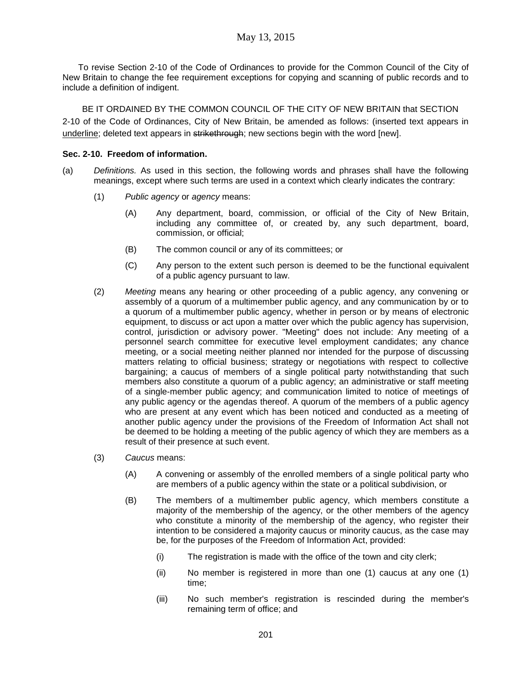To revise Section 2-10 of the Code of Ordinances to provide for the Common Council of the City of New Britain to change the fee requirement exceptions for copying and scanning of public records and to include a definition of indigent.

BE IT ORDAINED BY THE COMMON COUNCIL OF THE CITY OF NEW BRITAIN that SECTION 2-10 of the Code of Ordinances, City of New Britain, be amended as follows: (inserted text appears in underline; deleted text appears in strikethrough; new sections begin with the word [new].

### **Sec. 2-10. Freedom of information.**

- (a) *Definitions.* As used in this section, the following words and phrases shall have the following meanings, except where such terms are used in a context which clearly indicates the contrary:
	- (1) *Public agency* or *agency* means:
		- (A) Any department, board, commission, or official of the City of New Britain, including any committee of, or created by, any such department, board, commission, or official;
		- (B) The common council or any of its committees; or
		- (C) Any person to the extent such person is deemed to be the functional equivalent of a public agency pursuant to law.
	- (2) *Meeting* means any hearing or other proceeding of a public agency, any convening or assembly of a quorum of a multimember public agency, and any communication by or to a quorum of a multimember public agency, whether in person or by means of electronic equipment, to discuss or act upon a matter over which the public agency has supervision, control, jurisdiction or advisory power. "Meeting" does not include: Any meeting of a personnel search committee for executive level employment candidates; any chance meeting, or a social meeting neither planned nor intended for the purpose of discussing matters relating to official business; strategy or negotiations with respect to collective bargaining; a caucus of members of a single political party notwithstanding that such members also constitute a quorum of a public agency; an administrative or staff meeting of a single-member public agency; and communication limited to notice of meetings of any public agency or the agendas thereof. A quorum of the members of a public agency who are present at any event which has been noticed and conducted as a meeting of another public agency under the provisions of the Freedom of Information Act shall not be deemed to be holding a meeting of the public agency of which they are members as a result of their presence at such event.
	- (3) *Caucus* means:
		- (A) A convening or assembly of the enrolled members of a single political party who are members of a public agency within the state or a political subdivision, or
		- (B) The members of a multimember public agency, which members constitute a majority of the membership of the agency, or the other members of the agency who constitute a minority of the membership of the agency, who register their intention to be considered a majority caucus or minority caucus, as the case may be, for the purposes of the Freedom of Information Act, provided:
			- (i) The registration is made with the office of the town and city clerk;
			- (ii) No member is registered in more than one (1) caucus at any one (1) time;
			- (iii) No such member's registration is rescinded during the member's remaining term of office; and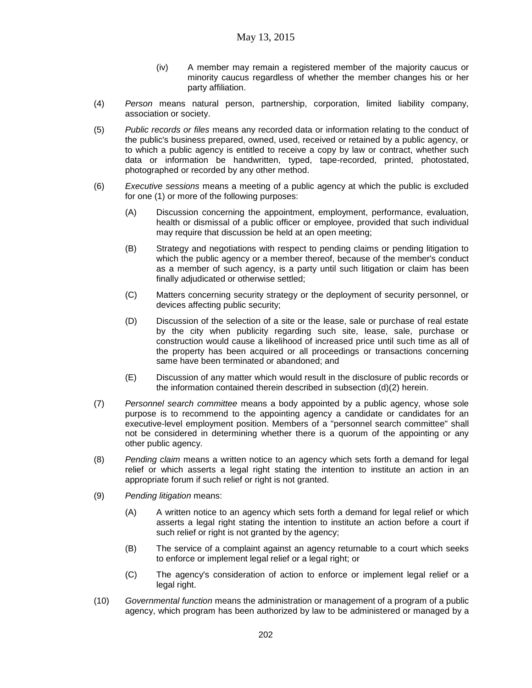- (iv) A member may remain a registered member of the majority caucus or minority caucus regardless of whether the member changes his or her party affiliation.
- (4) *Person* means natural person, partnership, corporation, limited liability company, association or society.
- (5) *Public records or files* means any recorded data or information relating to the conduct of the public's business prepared, owned, used, received or retained by a public agency, or to which a public agency is entitled to receive a copy by law or contract, whether such data or information be handwritten, typed, tape-recorded, printed, photostated, photographed or recorded by any other method.
- (6) *Executive sessions* means a meeting of a public agency at which the public is excluded for one (1) or more of the following purposes:
	- (A) Discussion concerning the appointment, employment, performance, evaluation, health or dismissal of a public officer or employee, provided that such individual may require that discussion be held at an open meeting;
	- (B) Strategy and negotiations with respect to pending claims or pending litigation to which the public agency or a member thereof, because of the member's conduct as a member of such agency, is a party until such litigation or claim has been finally adjudicated or otherwise settled;
	- (C) Matters concerning security strategy or the deployment of security personnel, or devices affecting public security;
	- (D) Discussion of the selection of a site or the lease, sale or purchase of real estate by the city when publicity regarding such site, lease, sale, purchase or construction would cause a likelihood of increased price until such time as all of the property has been acquired or all proceedings or transactions concerning same have been terminated or abandoned; and
	- (E) Discussion of any matter which would result in the disclosure of public records or the information contained therein described in subsection (d)(2) herein.
- (7) *Personnel search committee* means a body appointed by a public agency, whose sole purpose is to recommend to the appointing agency a candidate or candidates for an executive-level employment position. Members of a "personnel search committee" shall not be considered in determining whether there is a quorum of the appointing or any other public agency.
- (8) *Pending claim* means a written notice to an agency which sets forth a demand for legal relief or which asserts a legal right stating the intention to institute an action in an appropriate forum if such relief or right is not granted.
- (9) *Pending litigation* means:
	- (A) A written notice to an agency which sets forth a demand for legal relief or which asserts a legal right stating the intention to institute an action before a court if such relief or right is not granted by the agency;
	- (B) The service of a complaint against an agency returnable to a court which seeks to enforce or implement legal relief or a legal right; or
	- (C) The agency's consideration of action to enforce or implement legal relief or a legal right.
- (10) *Governmental function* means the administration or management of a program of a public agency, which program has been authorized by law to be administered or managed by a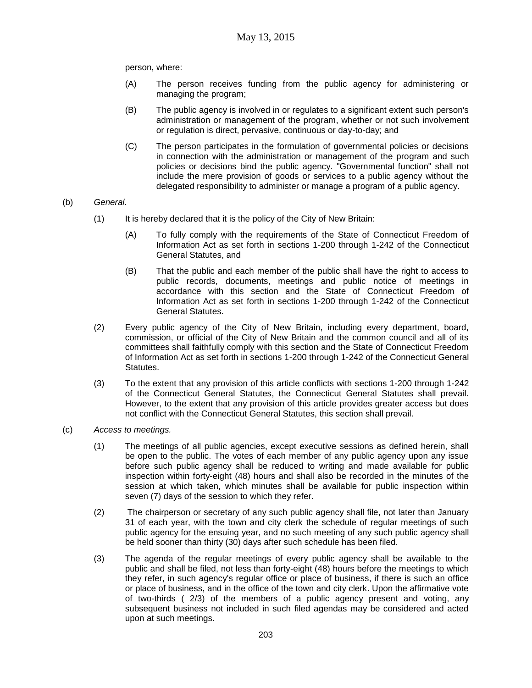person, where:

- (A) The person receives funding from the public agency for administering or managing the program;
- (B) The public agency is involved in or regulates to a significant extent such person's administration or management of the program, whether or not such involvement or regulation is direct, pervasive, continuous or day-to-day; and
- (C) The person participates in the formulation of governmental policies or decisions in connection with the administration or management of the program and such policies or decisions bind the public agency. "Governmental function" shall not include the mere provision of goods or services to a public agency without the delegated responsibility to administer or manage a program of a public agency.

### (b) *General.*

- (1) It is hereby declared that it is the policy of the City of New Britain:
	- (A) To fully comply with the requirements of the State of Connecticut Freedom of Information Act as set forth in sections 1-200 through 1-242 of the Connecticut General Statutes, and
	- (B) That the public and each member of the public shall have the right to access to public records, documents, meetings and public notice of meetings in accordance with this section and the State of Connecticut Freedom of Information Act as set forth in sections 1-200 through 1-242 of the Connecticut General Statutes.
- (2) Every public agency of the City of New Britain, including every department, board, commission, or official of the City of New Britain and the common council and all of its committees shall faithfully comply with this section and the State of Connecticut Freedom of Information Act as set forth in sections 1-200 through 1-242 of the Connecticut General Statutes.
- (3) To the extent that any provision of this article conflicts with sections 1-200 through 1-242 of the Connecticut General Statutes, the Connecticut General Statutes shall prevail. However, to the extent that any provision of this article provides greater access but does not conflict with the Connecticut General Statutes, this section shall prevail.
- (c) *Access to meetings.*
	- (1) The meetings of all public agencies, except executive sessions as defined herein, shall be open to the public. The votes of each member of any public agency upon any issue before such public agency shall be reduced to writing and made available for public inspection within forty-eight (48) hours and shall also be recorded in the minutes of the session at which taken, which minutes shall be available for public inspection within seven (7) days of the session to which they refer.
	- (2) The chairperson or secretary of any such public agency shall file, not later than January 31 of each year, with the town and city clerk the schedule of regular meetings of such public agency for the ensuing year, and no such meeting of any such public agency shall be held sooner than thirty (30) days after such schedule has been filed.
	- (3) The agenda of the regular meetings of every public agency shall be available to the public and shall be filed, not less than forty-eight (48) hours before the meetings to which they refer, in such agency's regular office or place of business, if there is such an office or place of business, and in the office of the town and city clerk. Upon the affirmative vote of two-thirds ( 2/3) of the members of a public agency present and voting, any subsequent business not included in such filed agendas may be considered and acted upon at such meetings.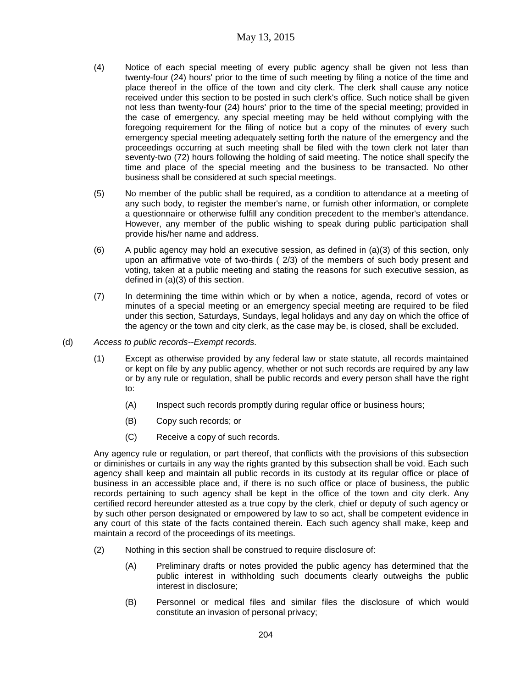- (4) Notice of each special meeting of every public agency shall be given not less than twenty-four (24) hours' prior to the time of such meeting by filing a notice of the time and place thereof in the office of the town and city clerk. The clerk shall cause any notice received under this section to be posted in such clerk's office. Such notice shall be given not less than twenty-four (24) hours' prior to the time of the special meeting; provided in the case of emergency, any special meeting may be held without complying with the foregoing requirement for the filing of notice but a copy of the minutes of every such emergency special meeting adequately setting forth the nature of the emergency and the proceedings occurring at such meeting shall be filed with the town clerk not later than seventy-two (72) hours following the holding of said meeting. The notice shall specify the time and place of the special meeting and the business to be transacted. No other business shall be considered at such special meetings.
- (5) No member of the public shall be required, as a condition to attendance at a meeting of any such body, to register the member's name, or furnish other information, or complete a questionnaire or otherwise fulfill any condition precedent to the member's attendance. However, any member of the public wishing to speak during public participation shall provide his/her name and address.
- $(6)$  A public agency may hold an executive session, as defined in  $(a)(3)$  of this section, only upon an affirmative vote of two-thirds ( 2/3) of the members of such body present and voting, taken at a public meeting and stating the reasons for such executive session, as defined in (a)(3) of this section.
- (7) In determining the time within which or by when a notice, agenda, record of votes or minutes of a special meeting or an emergency special meeting are required to be filed under this section, Saturdays, Sundays, legal holidays and any day on which the office of the agency or the town and city clerk, as the case may be, is closed, shall be excluded.
- (d) *Access to public records--Exempt records.*
	- (1) Except as otherwise provided by any federal law or state statute, all records maintained or kept on file by any public agency, whether or not such records are required by any law or by any rule or regulation, shall be public records and every person shall have the right to:
		- (A) Inspect such records promptly during regular office or business hours;
		- (B) Copy such records; or
		- (C) Receive a copy of such records.

Any agency rule or regulation, or part thereof, that conflicts with the provisions of this subsection or diminishes or curtails in any way the rights granted by this subsection shall be void. Each such agency shall keep and maintain all public records in its custody at its regular office or place of business in an accessible place and, if there is no such office or place of business, the public records pertaining to such agency shall be kept in the office of the town and city clerk. Any certified record hereunder attested as a true copy by the clerk, chief or deputy of such agency or by such other person designated or empowered by law to so act, shall be competent evidence in any court of this state of the facts contained therein. Each such agency shall make, keep and maintain a record of the proceedings of its meetings.

- (2) Nothing in this section shall be construed to require disclosure of:
	- (A) Preliminary drafts or notes provided the public agency has determined that the public interest in withholding such documents clearly outweighs the public interest in disclosure;
	- (B) Personnel or medical files and similar files the disclosure of which would constitute an invasion of personal privacy;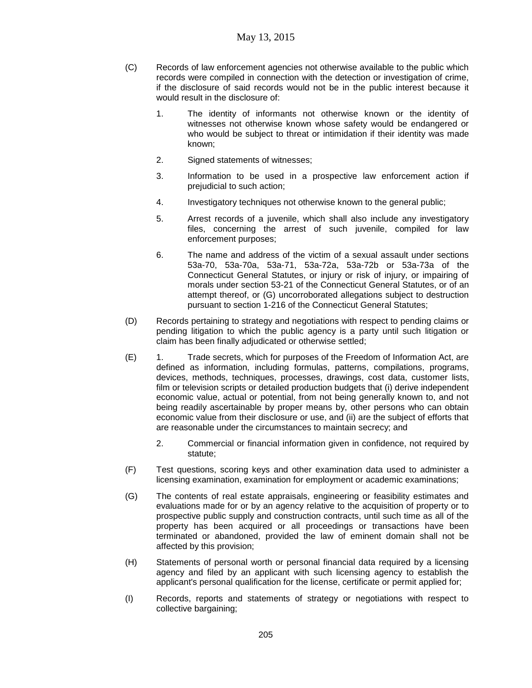- (C) Records of law enforcement agencies not otherwise available to the public which records were compiled in connection with the detection or investigation of crime, if the disclosure of said records would not be in the public interest because it would result in the disclosure of:
	- 1. The identity of informants not otherwise known or the identity of witnesses not otherwise known whose safety would be endangered or who would be subject to threat or intimidation if their identity was made known;
	- 2. Signed statements of witnesses;
	- 3. Information to be used in a prospective law enforcement action if prejudicial to such action;
	- 4. Investigatory techniques not otherwise known to the general public;
	- 5. Arrest records of a juvenile, which shall also include any investigatory files, concerning the arrest of such juvenile, compiled for law enforcement purposes;
	- 6. The name and address of the victim of a sexual assault under sections 53a-70, 53a-70a, 53a-71, 53a-72a, 53a-72b or 53a-73a of the Connecticut General Statutes, or injury or risk of injury, or impairing of morals under section 53-21 of the Connecticut General Statutes, or of an attempt thereof, or (G) uncorroborated allegations subject to destruction pursuant to section 1-216 of the Connecticut General Statutes;
- (D) Records pertaining to strategy and negotiations with respect to pending claims or pending litigation to which the public agency is a party until such litigation or claim has been finally adjudicated or otherwise settled;
- (E) 1. Trade secrets, which for purposes of the Freedom of Information Act, are defined as information, including formulas, patterns, compilations, programs, devices, methods, techniques, processes, drawings, cost data, customer lists, film or television scripts or detailed production budgets that (i) derive independent economic value, actual or potential, from not being generally known to, and not being readily ascertainable by proper means by, other persons who can obtain economic value from their disclosure or use, and (ii) are the subject of efforts that are reasonable under the circumstances to maintain secrecy; and
	- 2. Commercial or financial information given in confidence, not required by statute;
- (F) Test questions, scoring keys and other examination data used to administer a licensing examination, examination for employment or academic examinations;
- (G) The contents of real estate appraisals, engineering or feasibility estimates and evaluations made for or by an agency relative to the acquisition of property or to prospective public supply and construction contracts, until such time as all of the property has been acquired or all proceedings or transactions have been terminated or abandoned, provided the law of eminent domain shall not be affected by this provision;
- (H) Statements of personal worth or personal financial data required by a licensing agency and filed by an applicant with such licensing agency to establish the applicant's personal qualification for the license, certificate or permit applied for;
- (I) Records, reports and statements of strategy or negotiations with respect to collective bargaining;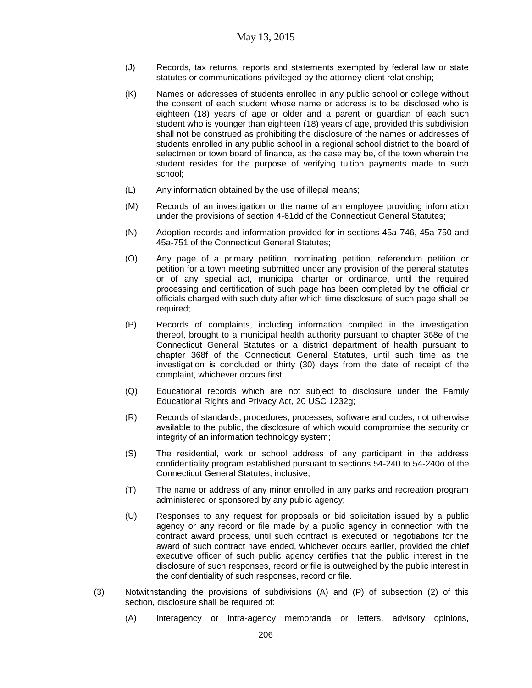- (J) Records, tax returns, reports and statements exempted by federal law or state statutes or communications privileged by the attorney-client relationship;
- (K) Names or addresses of students enrolled in any public school or college without the consent of each student whose name or address is to be disclosed who is eighteen (18) years of age or older and a parent or guardian of each such student who is younger than eighteen (18) years of age, provided this subdivision shall not be construed as prohibiting the disclosure of the names or addresses of students enrolled in any public school in a regional school district to the board of selectmen or town board of finance, as the case may be, of the town wherein the student resides for the purpose of verifying tuition payments made to such school;
- (L) Any information obtained by the use of illegal means;
- (M) Records of an investigation or the name of an employee providing information under the provisions of section 4-61dd of the Connecticut General Statutes;
- (N) Adoption records and information provided for in sections 45a-746, 45a-750 and 45a-751 of the Connecticut General Statutes;
- (O) Any page of a primary petition, nominating petition, referendum petition or petition for a town meeting submitted under any provision of the general statutes or of any special act, municipal charter or ordinance, until the required processing and certification of such page has been completed by the official or officials charged with such duty after which time disclosure of such page shall be required;
- (P) Records of complaints, including information compiled in the investigation thereof, brought to a municipal health authority pursuant to chapter 368e of the Connecticut General Statutes or a district department of health pursuant to chapter 368f of the Connecticut General Statutes, until such time as the investigation is concluded or thirty (30) days from the date of receipt of the complaint, whichever occurs first;
- (Q) Educational records which are not subject to disclosure under the Family Educational Rights and Privacy Act, 20 USC 1232g;
- (R) Records of standards, procedures, processes, software and codes, not otherwise available to the public, the disclosure of which would compromise the security or integrity of an information technology system;
- (S) The residential, work or school address of any participant in the address confidentiality program established pursuant to sections 54-240 to 54-240o of the Connecticut General Statutes, inclusive;
- (T) The name or address of any minor enrolled in any parks and recreation program administered or sponsored by any public agency;
- (U) Responses to any request for proposals or bid solicitation issued by a public agency or any record or file made by a public agency in connection with the contract award process, until such contract is executed or negotiations for the award of such contract have ended, whichever occurs earlier, provided the chief executive officer of such public agency certifies that the public interest in the disclosure of such responses, record or file is outweighed by the public interest in the confidentiality of such responses, record or file.
- (3) Notwithstanding the provisions of subdivisions (A) and (P) of subsection (2) of this section, disclosure shall be required of:
	- (A) Interagency or intra-agency memoranda or letters, advisory opinions,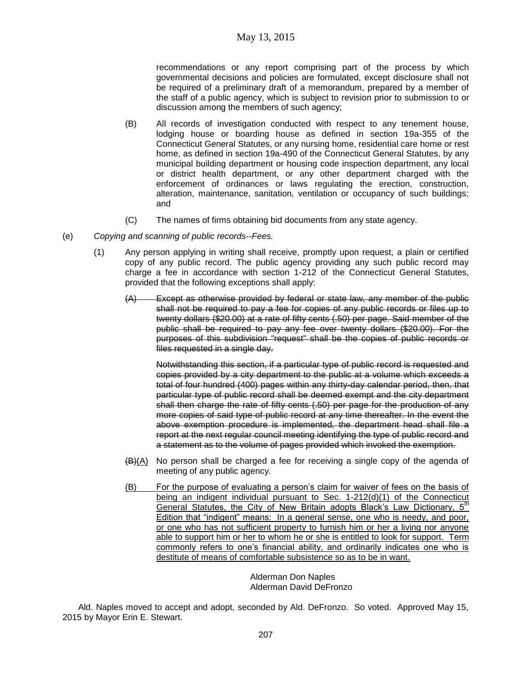recommendations or any report comprising part of the process by which governmental decisions and policies are formulated, except disclosure shall not be required of a preliminary draft of a memorandum, prepared by a member of the staff of a public agency, which is subject to revision prior to submission to or discussion among the members of such agency;

- (B) All records of investigation conducted with respect to any tenement house, lodging house or boarding house as defined in section 19a-355 of the Connecticut General Statutes, or any nursing home, residential care home or rest home, as defined in section 19a-490 of the Connecticut General Statutes, by any municipal building department or housing code inspection department, any local or district health department, or any other department charged with the enforcement of ordinances or laws regulating the erection, construction, alteration, maintenance, sanitation, ventilation or occupancy of such buildings; and
- (C) The names of firms obtaining bid documents from any state agency.

### (e) *Copying and scanning of public records--Fees.*

- (1) Any person applying in writing shall receive, promptly upon request, a plain or certified copy of any public record. The public agency providing any such public record may charge a fee in accordance with section 1-212 of the Connecticut General Statutes, provided that the following exceptions shall apply:
	- (A) Except as otherwise provided by federal or state law, any member of the public shall not be required to pay a fee for copies of any public records or files up to twenty dollars (\$20.00) at a rate of fifty cents (.50) per page. Said member of the public shall be required to pay any fee over twenty dollars (\$20.00). For the purposes of this subdivision "request" shall be the copies of public records or files requested in a single day.

Notwithstanding this section, if a particular type of public record is requested and copies provided by a city department to the public at a volume which exceeds a total of four hundred (400) pages within any thirty-day calendar period, then, that particular type of public record shall be deemed exempt and the city department shall then charge the rate of fifty cents (.50) per page for the production of any more copies of said type of public record at any time thereafter. In the event the above exemption procedure is implemented, the department head shall file a report at the next regular council meeting identifying the type of public record and a statement as to the volume of pages provided which invoked the exemption.

- $(H)(A)$  No person shall be charged a fee for receiving a single copy of the agenda of meeting of any public agency.
- (B) For the purpose of evaluating a person's claim for waiver of fees on the basis of being an indigent individual pursuant to Sec. 1-212(d)(1) of the Connecticut General Statutes, the City of New Britain adopts Black's Law Dictionary, 5<sup>th</sup> Edition that "indigent" means: In a general sense, one who is needy, and poor, or one who has not sufficient property to furnish him or her a living nor anyone able to support him or her to whom he or she is entitled to look for support. Term commonly refers to one's financial ability, and ordinarily indicates one who is destitute of means of comfortable subsistence so as to be in want.

Alderman Don Naples Alderman David DeFronzo

Ald. Naples moved to accept and adopt, seconded by Ald. DeFronzo. So voted. Approved May 15, 2015 by Mayor Erin E. Stewart.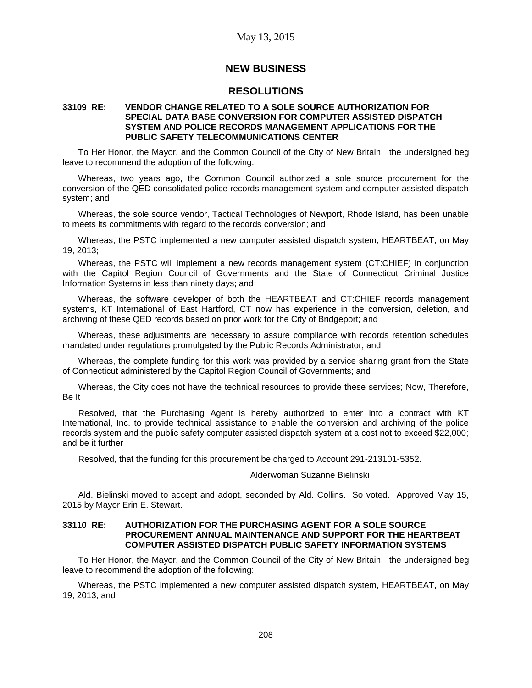# **NEW BUSINESS**

# **RESOLUTIONS**

### **33109 RE: VENDOR CHANGE RELATED TO A SOLE SOURCE AUTHORIZATION FOR SPECIAL DATA BASE CONVERSION FOR COMPUTER ASSISTED DISPATCH SYSTEM AND POLICE RECORDS MANAGEMENT APPLICATIONS FOR THE PUBLIC SAFETY TELECOMMUNICATIONS CENTER**

To Her Honor, the Mayor, and the Common Council of the City of New Britain: the undersigned beg leave to recommend the adoption of the following:

Whereas, two years ago, the Common Council authorized a sole source procurement for the conversion of the QED consolidated police records management system and computer assisted dispatch system; and

Whereas, the sole source vendor, Tactical Technologies of Newport, Rhode Island, has been unable to meets its commitments with regard to the records conversion; and

Whereas, the PSTC implemented a new computer assisted dispatch system, HEARTBEAT, on May 19, 2013;

Whereas, the PSTC will implement a new records management system (CT:CHIEF) in conjunction with the Capitol Region Council of Governments and the State of Connecticut Criminal Justice Information Systems in less than ninety days; and

Whereas, the software developer of both the HEARTBEAT and CT:CHIEF records management systems, KT International of East Hartford, CT now has experience in the conversion, deletion, and archiving of these QED records based on prior work for the City of Bridgeport; and

Whereas, these adjustments are necessary to assure compliance with records retention schedules mandated under regulations promulgated by the Public Records Administrator; and

Whereas, the complete funding for this work was provided by a service sharing grant from the State of Connecticut administered by the Capitol Region Council of Governments; and

Whereas, the City does not have the technical resources to provide these services; Now, Therefore, Be It

Resolved, that the Purchasing Agent is hereby authorized to enter into a contract with KT International, Inc. to provide technical assistance to enable the conversion and archiving of the police records system and the public safety computer assisted dispatch system at a cost not to exceed \$22,000; and be it further

Resolved, that the funding for this procurement be charged to Account 291-213101-5352.

### Alderwoman Suzanne Bielinski

Ald. Bielinski moved to accept and adopt, seconded by Ald. Collins. So voted. Approved May 15, 2015 by Mayor Erin E. Stewart.

### **33110 RE: AUTHORIZATION FOR THE PURCHASING AGENT FOR A SOLE SOURCE PROCUREMENT ANNUAL MAINTENANCE AND SUPPORT FOR THE HEARTBEAT COMPUTER ASSISTED DISPATCH PUBLIC SAFETY INFORMATION SYSTEMS**

To Her Honor, the Mayor, and the Common Council of the City of New Britain: the undersigned beg leave to recommend the adoption of the following:

Whereas, the PSTC implemented a new computer assisted dispatch system, HEARTBEAT, on May 19, 2013; and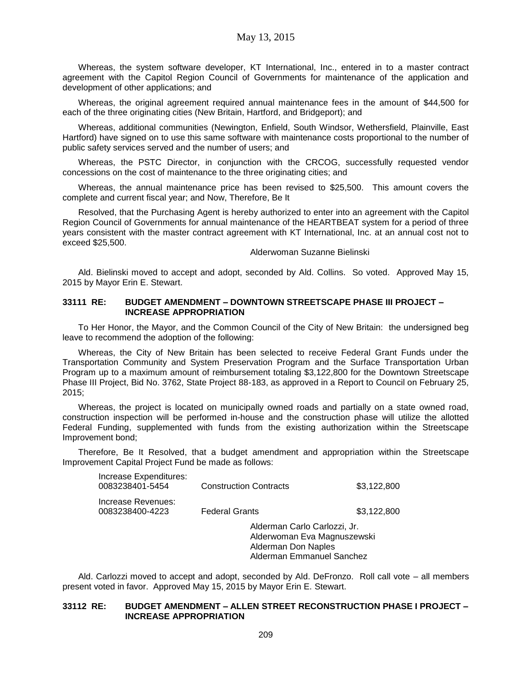Whereas, the system software developer, KT International, Inc., entered in to a master contract agreement with the Capitol Region Council of Governments for maintenance of the application and development of other applications; and

Whereas, the original agreement required annual maintenance fees in the amount of \$44,500 for each of the three originating cities (New Britain, Hartford, and Bridgeport); and

Whereas, additional communities (Newington, Enfield, South Windsor, Wethersfield, Plainville, East Hartford) have signed on to use this same software with maintenance costs proportional to the number of public safety services served and the number of users; and

Whereas, the PSTC Director, in conjunction with the CRCOG, successfully requested vendor concessions on the cost of maintenance to the three originating cities; and

Whereas, the annual maintenance price has been revised to \$25,500. This amount covers the complete and current fiscal year; and Now, Therefore, Be It

Resolved, that the Purchasing Agent is hereby authorized to enter into an agreement with the Capitol Region Council of Governments for annual maintenance of the HEARTBEAT system for a period of three years consistent with the master contract agreement with KT International, Inc. at an annual cost not to exceed \$25,500.

#### Alderwoman Suzanne Bielinski

Ald. Bielinski moved to accept and adopt, seconded by Ald. Collins. So voted. Approved May 15, 2015 by Mayor Erin E. Stewart.

### **33111 RE: BUDGET AMENDMENT – DOWNTOWN STREETSCAPE PHASE III PROJECT – INCREASE APPROPRIATION**

To Her Honor, the Mayor, and the Common Council of the City of New Britain: the undersigned beg leave to recommend the adoption of the following:

Whereas, the City of New Britain has been selected to receive Federal Grant Funds under the Transportation Community and System Preservation Program and the Surface Transportation Urban Program up to a maximum amount of reimbursement totaling \$3,122,800 for the Downtown Streetscape Phase III Project, Bid No. 3762, State Project 88-183, as approved in a Report to Council on February 25, 2015;

Whereas, the project is located on municipally owned roads and partially on a state owned road, construction inspection will be performed in-house and the construction phase will utilize the allotted Federal Funding, supplemented with funds from the existing authorization within the Streetscape Improvement bond;

Therefore, Be It Resolved, that a budget amendment and appropriation within the Streetscape Improvement Capital Project Fund be made as follows:

| Increase Expenditures:<br>0083238401-5454 | <b>Construction Contracts</b>                                                                                   | \$3,122,800 |  |
|-------------------------------------------|-----------------------------------------------------------------------------------------------------------------|-------------|--|
| Increase Revenues:<br>0083238400-4223     | <b>Federal Grants</b>                                                                                           | \$3,122,800 |  |
|                                           | Alderman Carlo Carlozzi, Jr.<br>Alderwoman Eva Magnuszewski<br>Alderman Don Naples<br>Alderman Emmanuel Sanchez |             |  |

Ald. Carlozzi moved to accept and adopt, seconded by Ald. DeFronzo. Roll call vote – all members present voted in favor. Approved May 15, 2015 by Mayor Erin E. Stewart.

### **33112 RE: BUDGET AMENDMENT – ALLEN STREET RECONSTRUCTION PHASE I PROJECT – INCREASE APPROPRIATION**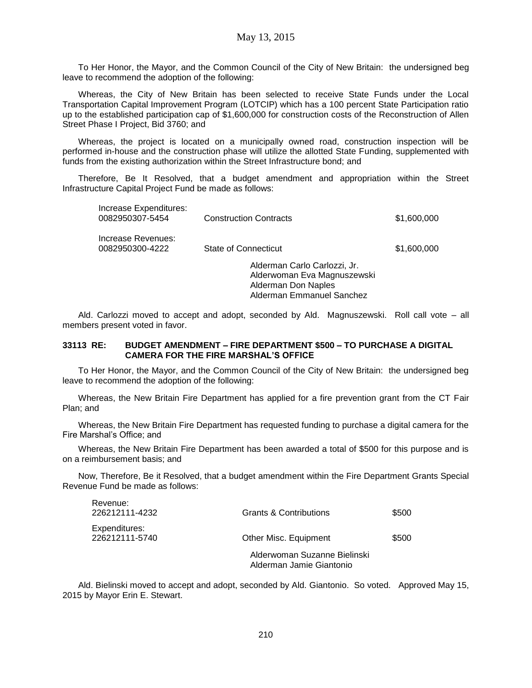To Her Honor, the Mayor, and the Common Council of the City of New Britain: the undersigned beg leave to recommend the adoption of the following:

Whereas, the City of New Britain has been selected to receive State Funds under the Local Transportation Capital Improvement Program (LOTCIP) which has a 100 percent State Participation ratio up to the established participation cap of \$1,600,000 for construction costs of the Reconstruction of Allen Street Phase I Project, Bid 3760; and

Whereas, the project is located on a municipally owned road, construction inspection will be performed in-house and the construction phase will utilize the allotted State Funding, supplemented with funds from the existing authorization within the Street Infrastructure bond; and

Therefore, Be It Resolved, that a budget amendment and appropriation within the Street Infrastructure Capital Project Fund be made as follows:

| Increase Expenditures:<br>0082950307-5454 | <b>Construction Contracts</b>                                                                                   | \$1,600,000 |
|-------------------------------------------|-----------------------------------------------------------------------------------------------------------------|-------------|
| Increase Revenues:<br>0082950300-4222     | <b>State of Connecticut</b>                                                                                     | \$1,600,000 |
|                                           | Alderman Carlo Carlozzi, Jr.<br>Alderwoman Eva Magnuszewski<br>Alderman Don Naples<br>Alderman Emmanuel Sanchez |             |

Ald. Carlozzi moved to accept and adopt, seconded by Ald. Magnuszewski. Roll call vote – all members present voted in favor.

### **33113 RE: BUDGET AMENDMENT – FIRE DEPARTMENT \$500 – TO PURCHASE A DIGITAL CAMERA FOR THE FIRE MARSHAL'S OFFICE**

To Her Honor, the Mayor, and the Common Council of the City of New Britain: the undersigned beg leave to recommend the adoption of the following:

Whereas, the New Britain Fire Department has applied for a fire prevention grant from the CT Fair Plan; and

Whereas, the New Britain Fire Department has requested funding to purchase a digital camera for the Fire Marshal's Office; and

Whereas, the New Britain Fire Department has been awarded a total of \$500 for this purpose and is on a reimbursement basis; and

Now, Therefore, Be it Resolved, that a budget amendment within the Fire Department Grants Special Revenue Fund be made as follows:

| Revenue:<br>226212111-4232      | <b>Grants &amp; Contributions</b>                        | \$500 |
|---------------------------------|----------------------------------------------------------|-------|
| Expenditures:<br>226212111-5740 | Other Misc. Equipment                                    | \$500 |
|                                 | Alderwoman Suzanne Bielinski<br>Alderman Jamie Giantonio |       |

Ald. Bielinski moved to accept and adopt, seconded by Ald. Giantonio. So voted. Approved May 15, 2015 by Mayor Erin E. Stewart.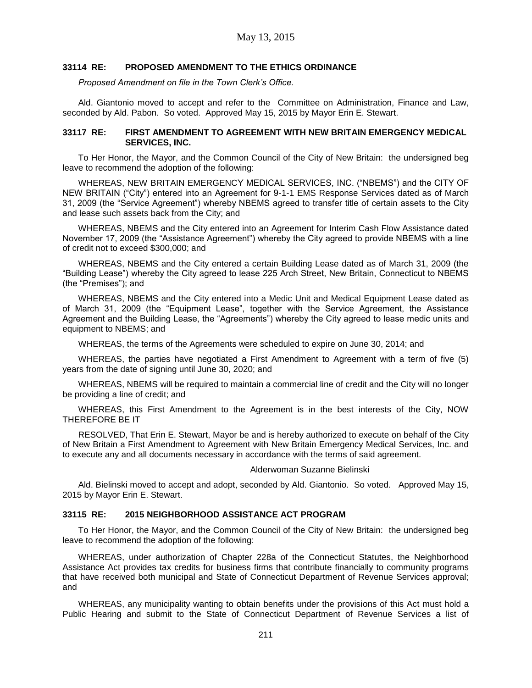### **33114 RE: PROPOSED AMENDMENT TO THE ETHICS ORDINANCE**

*Proposed Amendment on file in the Town Clerk's Office.*

Ald. Giantonio moved to accept and refer to the Committee on Administration, Finance and Law, seconded by Ald. Pabon. So voted. Approved May 15, 2015 by Mayor Erin E. Stewart.

### **33117 RE: FIRST AMENDMENT TO AGREEMENT WITH NEW BRITAIN EMERGENCY MEDICAL SERVICES, INC.**

To Her Honor, the Mayor, and the Common Council of the City of New Britain: the undersigned beg leave to recommend the adoption of the following:

WHEREAS, NEW BRITAIN EMERGENCY MEDICAL SERVICES, INC. ("NBEMS") and the CITY OF NEW BRITAIN ("City") entered into an Agreement for 9-1-1 EMS Response Services dated as of March 31, 2009 (the "Service Agreement") whereby NBEMS agreed to transfer title of certain assets to the City and lease such assets back from the City; and

WHEREAS, NBEMS and the City entered into an Agreement for Interim Cash Flow Assistance dated November 17, 2009 (the "Assistance Agreement") whereby the City agreed to provide NBEMS with a line of credit not to exceed \$300,000; and

WHEREAS, NBEMS and the City entered a certain Building Lease dated as of March 31, 2009 (the "Building Lease") whereby the City agreed to lease 225 Arch Street, New Britain, Connecticut to NBEMS (the "Premises"); and

WHEREAS, NBEMS and the City entered into a Medic Unit and Medical Equipment Lease dated as of March 31, 2009 (the "Equipment Lease", together with the Service Agreement, the Assistance Agreement and the Building Lease, the "Agreements") whereby the City agreed to lease medic units and equipment to NBEMS; and

WHEREAS, the terms of the Agreements were scheduled to expire on June 30, 2014; and

WHEREAS, the parties have negotiated a First Amendment to Agreement with a term of five (5) years from the date of signing until June 30, 2020; and

WHEREAS, NBEMS will be required to maintain a commercial line of credit and the City will no longer be providing a line of credit; and

WHEREAS, this First Amendment to the Agreement is in the best interests of the City, NOW THEREFORE BE IT

RESOLVED, That Erin E. Stewart, Mayor be and is hereby authorized to execute on behalf of the City of New Britain a First Amendment to Agreement with New Britain Emergency Medical Services, Inc. and to execute any and all documents necessary in accordance with the terms of said agreement.

#### Alderwoman Suzanne Bielinski

Ald. Bielinski moved to accept and adopt, seconded by Ald. Giantonio. So voted. Approved May 15, 2015 by Mayor Erin E. Stewart.

### **33115 RE: 2015 NEIGHBORHOOD ASSISTANCE ACT PROGRAM**

To Her Honor, the Mayor, and the Common Council of the City of New Britain: the undersigned beg leave to recommend the adoption of the following:

WHEREAS, under authorization of Chapter 228a of the Connecticut Statutes, the Neighborhood Assistance Act provides tax credits for business firms that contribute financially to community programs that have received both municipal and State of Connecticut Department of Revenue Services approval; and

WHEREAS, any municipality wanting to obtain benefits under the provisions of this Act must hold a Public Hearing and submit to the State of Connecticut Department of Revenue Services a list of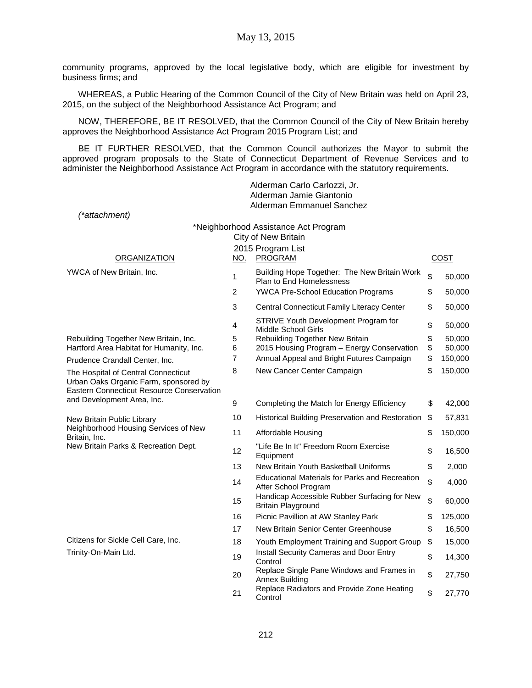community programs, approved by the local legislative body, which are eligible for investment by business firms; and

WHEREAS, a Public Hearing of the Common Council of the City of New Britain was held on April 23, 2015, on the subject of the Neighborhood Assistance Act Program; and

NOW, THEREFORE, BE IT RESOLVED, that the Common Council of the City of New Britain hereby approves the Neighborhood Assistance Act Program 2015 Program List; and

BE IT FURTHER RESOLVED, that the Common Council authorizes the Mayor to submit the approved program proposals to the State of Connecticut Department of Revenue Services and to administer the Neighborhood Assistance Act Program in accordance with the statutory requirements.

|                                                                                                                                  |                | Alderman Carlo Carlozzi, Jr.<br>Alderman Jamie Giantonio                        |          |                  |
|----------------------------------------------------------------------------------------------------------------------------------|----------------|---------------------------------------------------------------------------------|----------|------------------|
| (*attachment)                                                                                                                    |                | Alderman Emmanuel Sanchez                                                       |          |                  |
|                                                                                                                                  |                | *Neighborhood Assistance Act Program                                            |          |                  |
|                                                                                                                                  |                | City of New Britain                                                             |          |                  |
|                                                                                                                                  |                | 2015 Program List                                                               |          |                  |
| <b>ORGANIZATION</b>                                                                                                              | <b>NO.</b>     | PROGRAM                                                                         |          | COST             |
| YWCA of New Britain, Inc.                                                                                                        | 1              | Building Hope Together: The New Britain Work<br><b>Plan to End Homelessness</b> | \$       | 50,000           |
|                                                                                                                                  | 2              | <b>YWCA Pre-School Education Programs</b>                                       | \$       | 50,000           |
|                                                                                                                                  | 3              | <b>Central Connecticut Family Literacy Center</b>                               | \$       | 50,000           |
|                                                                                                                                  | 4              | STRIVE Youth Development Program for<br>Middle School Girls                     | \$       | 50,000           |
| Rebuilding Together New Britain, Inc.<br>Hartford Area Habitat for Humanity, Inc.                                                | 5<br>6         | Rebuilding Together New Britain<br>2015 Housing Program - Energy Conservation   | \$<br>\$ | 50,000<br>50,000 |
| Prudence Crandall Center, Inc.                                                                                                   | $\overline{7}$ | Annual Appeal and Bright Futures Campaign                                       | \$       | 150,000          |
| The Hospital of Central Connecticut<br>Urban Oaks Organic Farm, sponsored by<br><b>Eastern Connecticut Resource Conservation</b> | 8              | New Cancer Center Campaign                                                      | \$       | 150,000          |
| and Development Area, Inc.                                                                                                       | 9              | Completing the Match for Energy Efficiency                                      | \$       | 42,000           |
| New Britain Public Library                                                                                                       | 10             | Historical Building Preservation and Restoration                                | \$       | 57,831           |
| Neighborhood Housing Services of New<br>Britain, Inc.<br>New Britain Parks & Recreation Dept.                                    | 11             | Affordable Housing                                                              | \$       | 150,000          |
|                                                                                                                                  | 12             | "Life Be In It" Freedom Room Exercise<br>Equipment                              | \$       | 16,500           |
|                                                                                                                                  | 13             | New Britain Youth Basketball Uniforms                                           | \$       | 2,000            |
|                                                                                                                                  | 14             | <b>Educational Materials for Parks and Recreation</b><br>After School Program   | \$       | 4,000            |
|                                                                                                                                  | 15             | Handicap Accessible Rubber Surfacing for New<br><b>Britain Playground</b>       | \$       | 60,000           |
|                                                                                                                                  | 16             | Picnic Pavillion at AW Stanley Park                                             | \$       | 125,000          |
|                                                                                                                                  | 17             | New Britain Senior Center Greenhouse                                            | \$       | 16,500           |
| Citizens for Sickle Cell Care, Inc.                                                                                              | 18             | Youth Employment Training and Support Group                                     | \$       | 15,000           |
| Trinity-On-Main Ltd.                                                                                                             | 19             | Install Security Cameras and Door Entry<br>Control                              | \$       | 14,300           |
|                                                                                                                                  | 20             | Replace Single Pane Windows and Frames in<br>Annex Building                     | \$       | 27,750           |
|                                                                                                                                  | 21             | Replace Radiators and Provide Zone Heating<br>Control                           | \$       | 27,770           |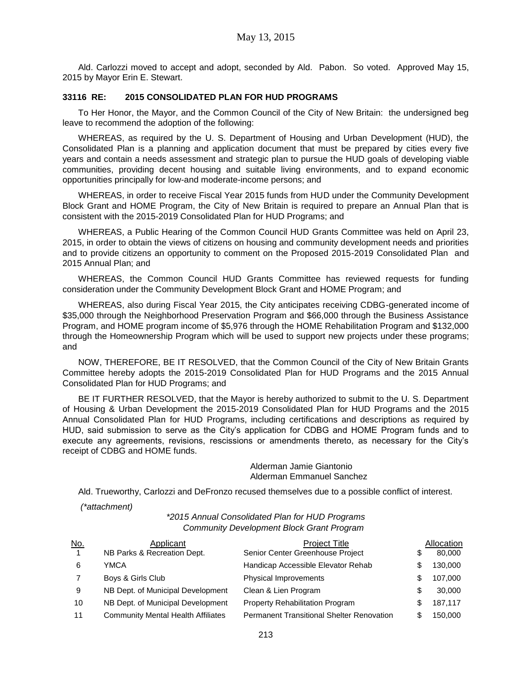Ald. Carlozzi moved to accept and adopt, seconded by Ald. Pabon. So voted. Approved May 15, 2015 by Mayor Erin E. Stewart.

### **33116 RE: 2015 CONSOLIDATED PLAN FOR HUD PROGRAMS**

To Her Honor, the Mayor, and the Common Council of the City of New Britain: the undersigned beg leave to recommend the adoption of the following:

WHEREAS, as required by the U. S. Department of Housing and Urban Development (HUD), the Consolidated Plan is a planning and application document that must be prepared by cities every five years and contain a needs assessment and strategic plan to pursue the HUD goals of developing viable communities, providing decent housing and suitable living environments, and to expand economic opportunities principally for low-and moderate-income persons; and

WHEREAS, in order to receive Fiscal Year 2015 funds from HUD under the Community Development Block Grant and HOME Program, the City of New Britain is required to prepare an Annual Plan that is consistent with the 2015-2019 Consolidated Plan for HUD Programs; and

WHEREAS, a Public Hearing of the Common Council HUD Grants Committee was held on April 23, 2015, in order to obtain the views of citizens on housing and community development needs and priorities and to provide citizens an opportunity to comment on the Proposed 2015-2019 Consolidated Plan and 2015 Annual Plan; and

WHEREAS, the Common Council HUD Grants Committee has reviewed requests for funding consideration under the Community Development Block Grant and HOME Program; and

WHEREAS, also during Fiscal Year 2015, the City anticipates receiving CDBG-generated income of \$35,000 through the Neighborhood Preservation Program and \$66,000 through the Business Assistance Program, and HOME program income of \$5,976 through the HOME Rehabilitation Program and \$132,000 through the Homeownership Program which will be used to support new projects under these programs; and

NOW, THEREFORE, BE IT RESOLVED, that the Common Council of the City of New Britain Grants Committee hereby adopts the 2015-2019 Consolidated Plan for HUD Programs and the 2015 Annual Consolidated Plan for HUD Programs; and

BE IT FURTHER RESOLVED, that the Mayor is hereby authorized to submit to the U. S. Department of Housing & Urban Development the 2015-2019 Consolidated Plan for HUD Programs and the 2015 Annual Consolidated Plan for HUD Programs, including certifications and descriptions as required by HUD, said submission to serve as the City's application for CDBG and HOME Program funds and to execute any agreements, revisions, rescissions or amendments thereto, as necessary for the City's receipt of CDBG and HOME funds.

> Alderman Jamie Giantonio Alderman Emmanuel Sanchez

Ald. Trueworthy, Carlozzi and DeFronzo recused themselves due to a possible conflict of interest.

*(\*attachment)*

*\*2015 Annual Consolidated Plan for HUD Programs Community Development Block Grant Program*

| <u>No.</u>     | Applicant                                 | <b>Project Title</b>                             |    | Allocation |
|----------------|-------------------------------------------|--------------------------------------------------|----|------------|
| $\overline{1}$ | NB Parks & Recreation Dept.               | Senior Center Greenhouse Project                 | \$ | 80,000     |
| 6              | YMCA                                      | Handicap Accessible Elevator Rehab               | S  | 130,000    |
|                | Boys & Girls Club                         | Physical Improvements                            | S  | 107,000    |
| 9              | NB Dept. of Municipal Development         | Clean & Lien Program                             | S  | 30,000     |
| 10             | NB Dept. of Municipal Development         | Property Rehabilitation Program                  | S  | 187,117    |
| 11             | <b>Community Mental Health Affiliates</b> | <b>Permanent Transitional Shelter Renovation</b> | S  | 150.000    |